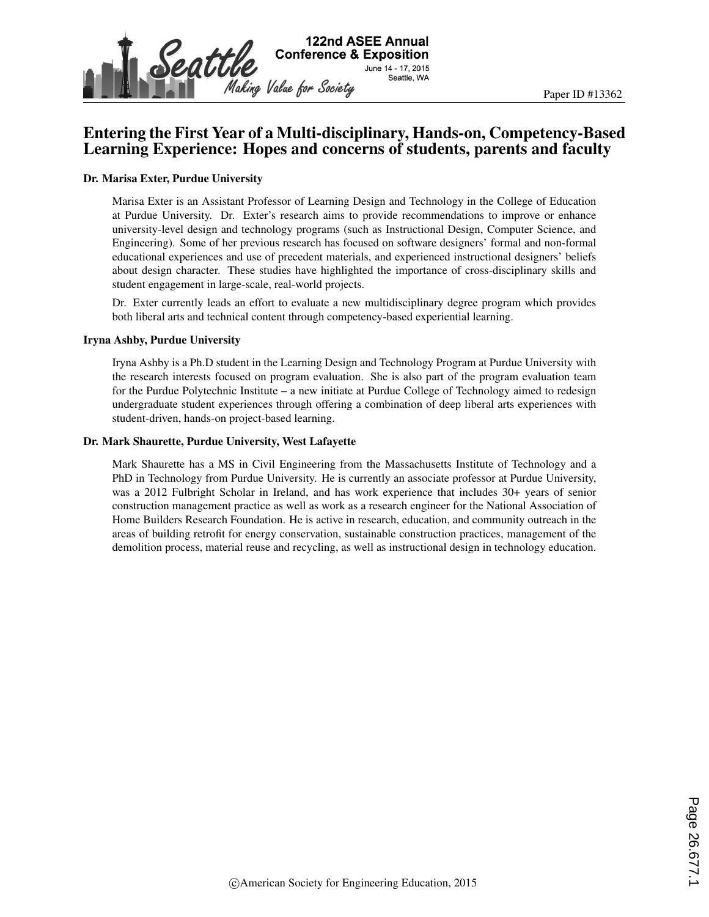

## Entering the First Year of a Multi-disciplinary, Hands-on, Competency-Based Learning Experience: Hopes and concerns of students, parents and faculty

#### Dr. Marisa Exter, Purdue University

Marisa Exter is an Assistant Professor of Learning Design and Technology in the College of Education at Purdue University. Dr. Exter's research aims to provide recommendations to improve or enhance university-level design and technology programs (such as Instructional Design, Computer Science, and Engineering). Some of her previous research has focused on software designers' formal and non-formal educational experiences and use of precedent materials, and experienced instructional designers' beliefs about design character. These studies have highlighted the importance of cross-disciplinary skills and student engagement in large-scale, real-world projects.

Dr. Exter currently leads an effort to evaluate a new multidisciplinary degree program which provides both liberal arts and technical content through competency-based experiential learning.

#### Iryna Ashby, Purdue University

Iryna Ashby is a Ph.D student in the Learning Design and Technology Program at Purdue University with the research interests focused on program evaluation. She is also part of the program evaluation team for the Purdue Polytechnic Institute – a new initiate at Purdue College of Technology aimed to redesign undergraduate student experiences through offering a combination of deep liberal arts experiences with student-driven, hands-on project-based learning.

#### Dr. Mark Shaurette, Purdue University, West Lafayette

Mark Shaurette has a MS in Civil Engineering from the Massachusetts Institute of Technology and a PhD in Technology from Purdue University. He is currently an associate professor at Purdue University, was a 2012 Fulbright Scholar in Ireland, and has work experience that includes 30+ years of senior construction management practice as well as work as a research engineer for the National Association of Home Builders Research Foundation. He is active in research, education, and community outreach in the areas of building retrofit for energy conservation, sustainable construction practices, management of the demolition process, material reuse and recycling, as well as instructional design in technology education.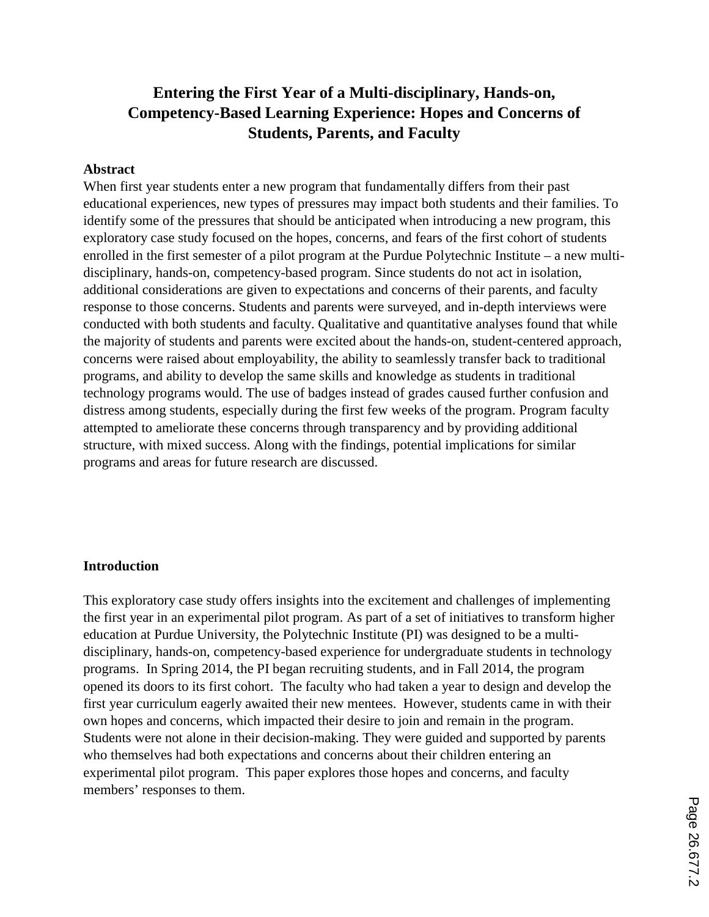## **Entering the First Year of a Multi-disciplinary, Hands-on, Competency-Based Learning Experience: Hopes and Concerns of Students, Parents, and Faculty**

#### **Abstract**

When first year students enter a new program that fundamentally differs from their past educational experiences, new types of pressures may impact both students and their families. To identify some of the pressures that should be anticipated when introducing a new program, this exploratory case study focused on the hopes, concerns, and fears of the first cohort of students enrolled in the first semester of a pilot program at the Purdue Polytechnic Institute – a new multidisciplinary, hands-on, competency-based program. Since students do not act in isolation, additional considerations are given to expectations and concerns of their parents, and faculty response to those concerns. Students and parents were surveyed, and in-depth interviews were conducted with both students and faculty. Qualitative and quantitative analyses found that while the majority of students and parents were excited about the hands-on, student-centered approach, concerns were raised about employability, the ability to seamlessly transfer back to traditional programs, and ability to develop the same skills and knowledge as students in traditional technology programs would. The use of badges instead of grades caused further confusion and distress among students, especially during the first few weeks of the program. Program faculty attempted to ameliorate these concerns through transparency and by providing additional structure, with mixed success. Along with the findings, potential implications for similar programs and areas for future research are discussed.

#### **Introduction**

This exploratory case study offers insights into the excitement and challenges of implementing the first year in an experimental pilot program. As part of a set of initiatives to transform higher education at Purdue University, the Polytechnic Institute (PI) was designed to be a multidisciplinary, hands-on, competency-based experience for undergraduate students in technology programs. In Spring 2014, the PI began recruiting students, and in Fall 2014, the program opened its doors to its first cohort. The faculty who had taken a year to design and develop the first year curriculum eagerly awaited their new mentees. However, students came in with their own hopes and concerns, which impacted their desire to join and remain in the program. Students were not alone in their decision-making. They were guided and supported by parents who themselves had both expectations and concerns about their children entering an experimental pilot program. This paper explores those hopes and concerns, and faculty members' responses to them.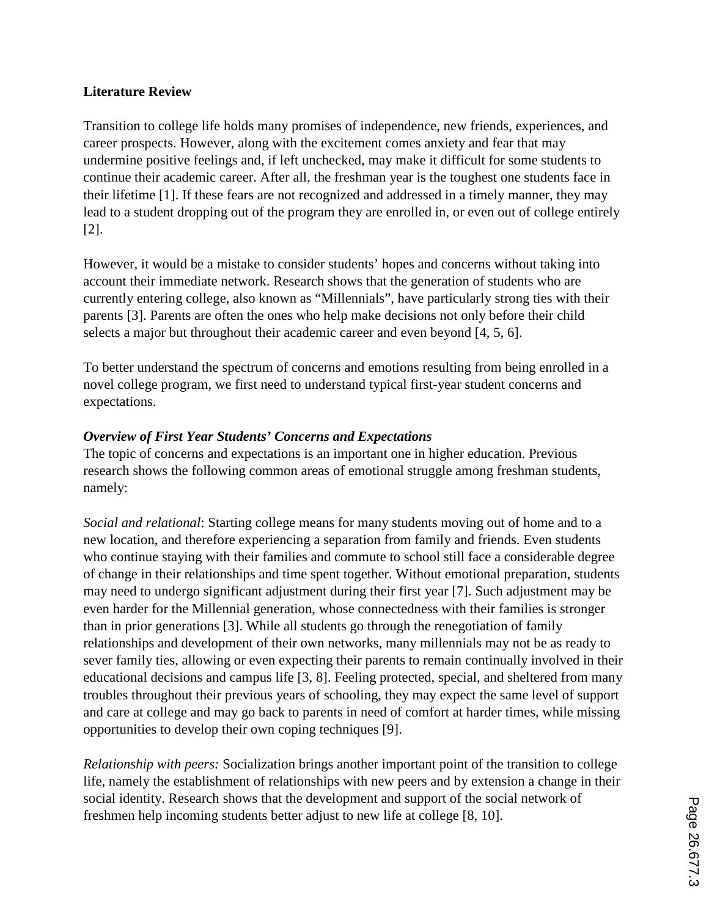### **Literature Review**

Transition to college life holds many promises of independence, new friends, experiences, and career prospects. However, along with the excitement comes anxiety and fear that may undermine positive feelings and, if left unchecked, may make it difficult for some students to continue their academic career. After all, the freshman year is the toughest one students face in their lifetime [1]. If these fears are not recognized and addressed in a timely manner, they may lead to a student dropping out of the program they are enrolled in, or even out of college entirely [2].

However, it would be a mistake to consider students' hopes and concerns without taking into account their immediate network. Research shows that the generation of students who are currently entering college, also known as "Millennials", have particularly strong ties with their parents [3]. Parents are often the ones who help make decisions not only before their child selects a major but throughout their academic career and even beyond [4, 5, 6].

To better understand the spectrum of concerns and emotions resulting from being enrolled in a novel college program, we first need to understand typical first-year student concerns and expectations.

### *Overview of First Year Students' Concerns and Expectations*

The topic of concerns and expectations is an important one in higher education. Previous research shows the following common areas of emotional struggle among freshman students, namely:

*Social and relational*: Starting college means for many students moving out of home and to a new location, and therefore experiencing a separation from family and friends. Even students who continue staying with their families and commute to school still face a considerable degree of change in their relationships and time spent together. Without emotional preparation, students may need to undergo significant adjustment during their first year [7]. Such adjustment may be even harder for the Millennial generation, whose connectedness with their families is stronger than in prior generations [3]. While all students go through the renegotiation of family relationships and development of their own networks, many millennials may not be as ready to sever family ties, allowing or even expecting their parents to remain continually involved in their educational decisions and campus life [3, 8]. Feeling protected, special, and sheltered from many troubles throughout their previous years of schooling, they may expect the same level of support and care at college and may go back to parents in need of comfort at harder times, while missing opportunities to develop their own coping techniques [9].

*Relationship with peers:* Socialization brings another important point of the transition to college life, namely the establishment of relationships with new peers and by extension a change in their social identity. Research shows that the development and support of the social network of freshmen help incoming students better adjust to new life at college [8, 10].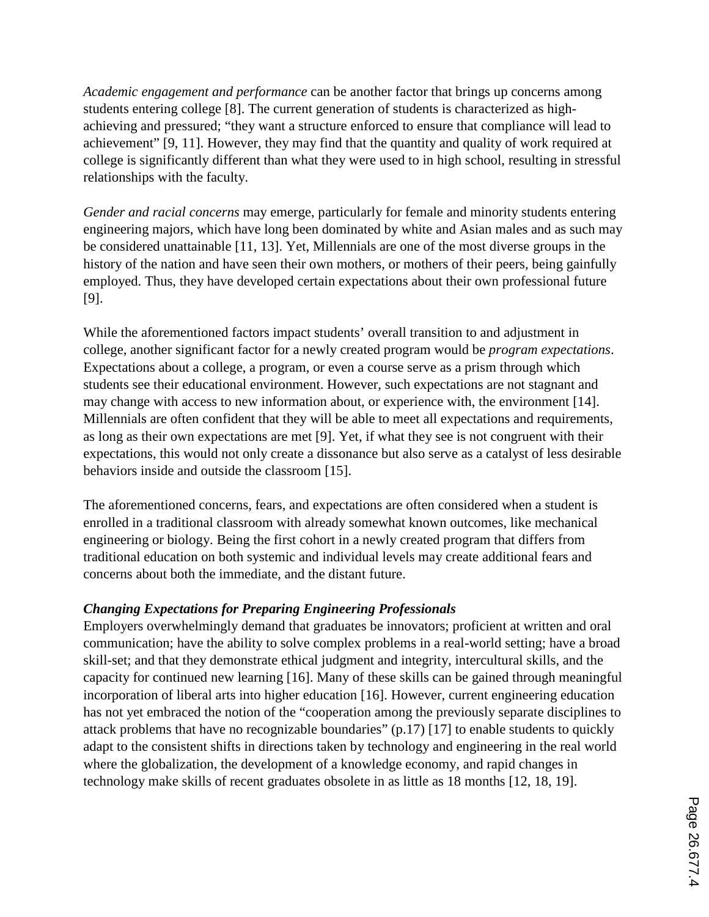*Academic engagement and performance* can be another factor that brings up concerns among students entering college [8]. The current generation of students is characterized as highachieving and pressured; "they want a structure enforced to ensure that compliance will lead to achievement" [9, 11]. However, they may find that the quantity and quality of work required at college is significantly different than what they were used to in high school, resulting in stressful relationships with the faculty.

*Gender and racial concerns* may emerge, particularly for female and minority students entering engineering majors, which have long been dominated by white and Asian males and as such may be considered unattainable [11, 13]. Yet, Millennials are one of the most diverse groups in the history of the nation and have seen their own mothers, or mothers of their peers, being gainfully employed. Thus, they have developed certain expectations about their own professional future [9].

While the aforementioned factors impact students' overall transition to and adjustment in college, another significant factor for a newly created program would be *program expectations*. Expectations about a college, a program, or even a course serve as a prism through which students see their educational environment. However, such expectations are not stagnant and may change with access to new information about, or experience with, the environment [14]. Millennials are often confident that they will be able to meet all expectations and requirements, as long as their own expectations are met [9]. Yet, if what they see is not congruent with their expectations, this would not only create a dissonance but also serve as a catalyst of less desirable behaviors inside and outside the classroom [15].

The aforementioned concerns, fears, and expectations are often considered when a student is enrolled in a traditional classroom with already somewhat known outcomes, like mechanical engineering or biology. Being the first cohort in a newly created program that differs from traditional education on both systemic and individual levels may create additional fears and concerns about both the immediate, and the distant future.

### *Changing Expectations for Preparing Engineering Professionals*

Employers overwhelmingly demand that graduates be innovators; proficient at written and oral communication; have the ability to solve complex problems in a real-world setting; have a broad skill-set; and that they demonstrate ethical judgment and integrity, intercultural skills, and the capacity for continued new learning [16]. Many of these skills can be gained through meaningful incorporation of liberal arts into higher education [16]. However, current engineering education has not yet embraced the notion of the "cooperation among the previously separate disciplines to attack problems that have no recognizable boundaries" (p.17) [17] to enable students to quickly adapt to the consistent shifts in directions taken by technology and engineering in the real world where the globalization, the development of a knowledge economy, and rapid changes in technology make skills of recent graduates obsolete in as little as 18 months [12, 18, 19].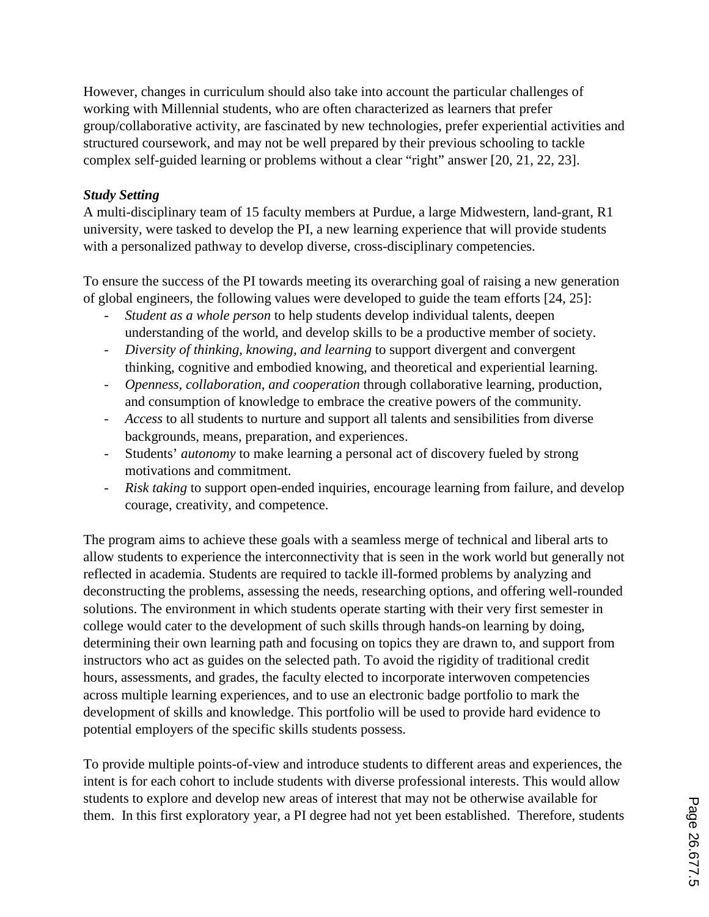However, changes in curriculum should also take into account the particular challenges of working with Millennial students, who are often characterized as learners that prefer group/collaborative activity, are fascinated by new technologies, prefer experiential activities and structured coursework, and may not be well prepared by their previous schooling to tackle complex self-guided learning or problems without a clear "right" answer [20, 21, 22, 23].

### *Study Setting*

A multi-disciplinary team of 15 faculty members at Purdue, a large Midwestern, land-grant, R1 university, were tasked to develop the PI, a new learning experience that will provide students with a personalized pathway to develop diverse, cross-disciplinary competencies.

To ensure the success of the PI towards meeting its overarching goal of raising a new generation of global engineers, the following values were developed to guide the team efforts [24, 25]:

- *Student as a whole person* to help students develop individual talents, deepen understanding of the world, and develop skills to be a productive member of society.
- *Diversity of thinking, knowing, and learning* to support divergent and convergent thinking, cognitive and embodied knowing, and theoretical and experiential learning.
- *Openness, collaboration, and cooperation* through collaborative learning, production, and consumption of knowledge to embrace the creative powers of the community.
- *Access* to all students to nurture and support all talents and sensibilities from diverse backgrounds, means, preparation, and experiences.
- Students' *autonomy* to make learning a personal act of discovery fueled by strong motivations and commitment.
- *Risk taking* to support open-ended inquiries, encourage learning from failure, and develop courage, creativity, and competence.

The program aims to achieve these goals with a seamless merge of technical and liberal arts to allow students to experience the interconnectivity that is seen in the work world but generally not reflected in academia. Students are required to tackle ill-formed problems by analyzing and deconstructing the problems, assessing the needs, researching options, and offering well-rounded solutions. The environment in which students operate starting with their very first semester in college would cater to the development of such skills through hands-on learning by doing, determining their own learning path and focusing on topics they are drawn to, and support from instructors who act as guides on the selected path. To avoid the rigidity of traditional credit hours, assessments, and grades, the faculty elected to incorporate interwoven competencies across multiple learning experiences, and to use an electronic badge portfolio to mark the development of skills and knowledge. This portfolio will be used to provide hard evidence to potential employers of the specific skills students possess.

To provide multiple points-of-view and introduce students to different areas and experiences, the intent is for each cohort to include students with diverse professional interests. This would allow students to explore and develop new areas of interest that may not be otherwise available for them. In this first exploratory year, a PI degree had not yet been established. Therefore, students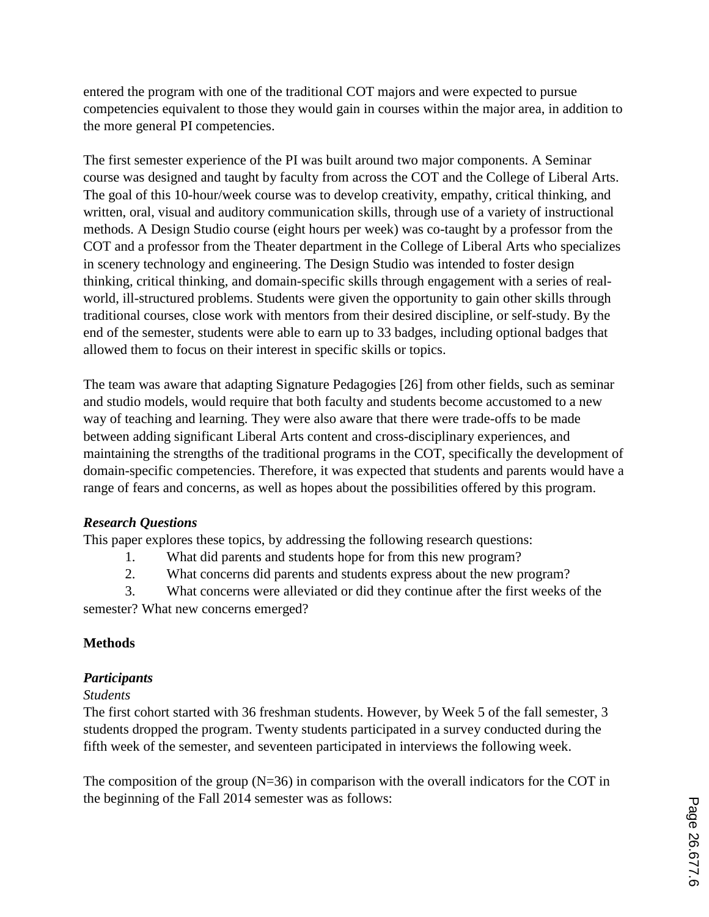entered the program with one of the traditional COT majors and were expected to pursue competencies equivalent to those they would gain in courses within the major area, in addition to the more general PI competencies.

The first semester experience of the PI was built around two major components. A Seminar course was designed and taught by faculty from across the COT and the College of Liberal Arts. The goal of this 10-hour/week course was to develop creativity, empathy, critical thinking, and written, oral, visual and auditory communication skills, through use of a variety of instructional methods. A Design Studio course (eight hours per week) was co-taught by a professor from the COT and a professor from the Theater department in the College of Liberal Arts who specializes in scenery technology and engineering. The Design Studio was intended to foster design thinking, critical thinking, and domain-specific skills through engagement with a series of realworld, ill-structured problems. Students were given the opportunity to gain other skills through traditional courses, close work with mentors from their desired discipline, or self-study. By the end of the semester, students were able to earn up to 33 badges, including optional badges that allowed them to focus on their interest in specific skills or topics.

The team was aware that adapting Signature Pedagogies [26] from other fields, such as seminar and studio models, would require that both faculty and students become accustomed to a new way of teaching and learning. They were also aware that there were trade-offs to be made between adding significant Liberal Arts content and cross-disciplinary experiences, and maintaining the strengths of the traditional programs in the COT, specifically the development of domain-specific competencies. Therefore, it was expected that students and parents would have a range of fears and concerns, as well as hopes about the possibilities offered by this program.

### *Research Questions*

This paper explores these topics, by addressing the following research questions:

- 1. What did parents and students hope for from this new program?
- 2. What concerns did parents and students express about the new program?

3. What concerns were alleviated or did they continue after the first weeks of the semester? What new concerns emerged?

### **Methods**

#### *Participants*

#### *Students*

The first cohort started with 36 freshman students. However, by Week 5 of the fall semester, 3 students dropped the program. Twenty students participated in a survey conducted during the fifth week of the semester, and seventeen participated in interviews the following week.

The composition of the group  $(N=36)$  in comparison with the overall indicators for the COT in the beginning of the Fall 2014 semester was as follows: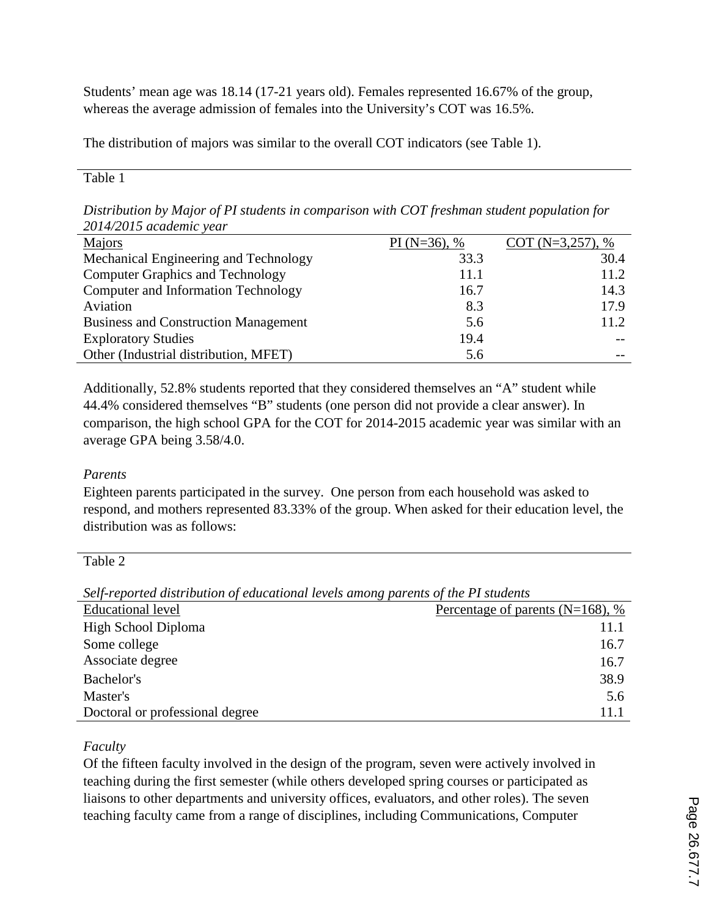Students' mean age was 18.14 (17-21 years old). Females represented 16.67% of the group, whereas the average admission of females into the University's COT was 16.5%.

The distribution of majors was similar to the overall COT indicators (see Table 1).

#### Table 1

*Distribution by Major of PI students in comparison with COT freshman student population for 2014/2015 academic year*

| $201122$ weaven't real                      |                  |                      |
|---------------------------------------------|------------------|----------------------|
| Majors                                      | PI ( $N=36$ ), % | COT ( $N=3,257$ ), % |
| Mechanical Engineering and Technology       | 33.3             | 30.4                 |
| <b>Computer Graphics and Technology</b>     | 11.1             | 11.2                 |
| Computer and Information Technology         | 16.7             | 14.3                 |
| Aviation                                    | 8.3              | 17.9                 |
| <b>Business and Construction Management</b> | 5.6              | 11.2                 |
| <b>Exploratory Studies</b>                  | 19.4             |                      |
| Other (Industrial distribution, MFET)       | 5.6              |                      |

Additionally, 52.8% students reported that they considered themselves an "A" student while 44.4% considered themselves "B" students (one person did not provide a clear answer). In comparison, the high school GPA for the COT for 2014-2015 academic year was similar with an average GPA being 3.58/4.0.

### *Parents*

Eighteen parents participated in the survey. One person from each household was asked to respond, and mothers represented 83.33% of the group. When asked for their education level, the distribution was as follows:

Table 2

*Self-reported distribution of educational levels among parents of the PI students*

|                                 | $\cdots$                             |
|---------------------------------|--------------------------------------|
| <b>Educational level</b>        | Percentage of parents ( $N=168$ ), % |
| High School Diploma             | 11.1                                 |
| Some college                    | 16.7                                 |
| Associate degree                | 16.7                                 |
| Bachelor's                      | 38.9                                 |
| Master's                        | 5.6                                  |
| Doctoral or professional degree | 11.1                                 |

## *Faculty*

Of the fifteen faculty involved in the design of the program, seven were actively involved in teaching during the first semester (while others developed spring courses or participated as liaisons to other departments and university offices, evaluators, and other roles). The seven teaching faculty came from a range of disciplines, including Communications, Computer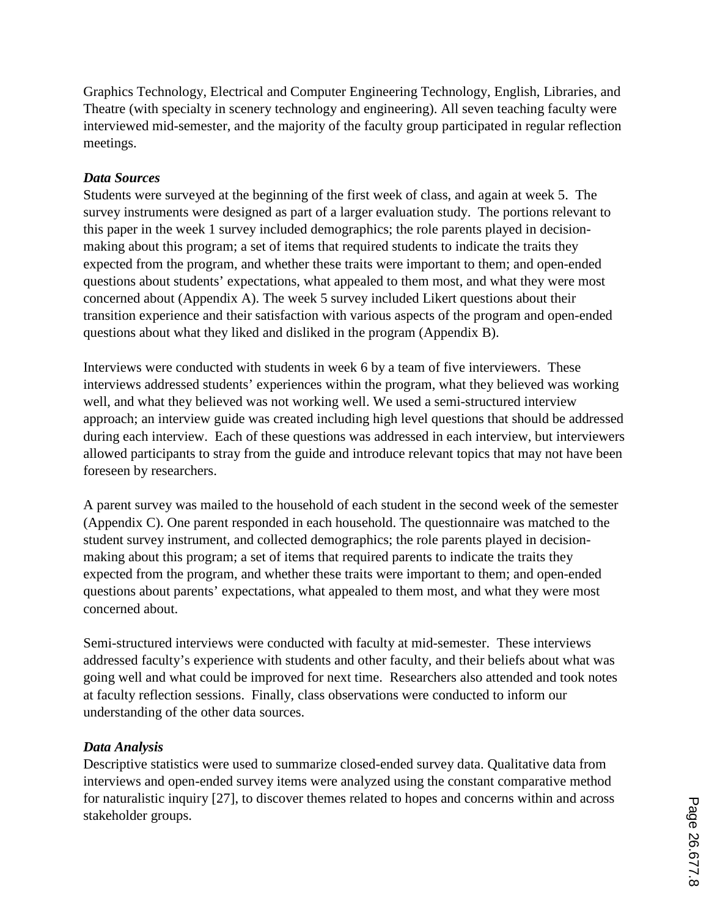Graphics Technology, Electrical and Computer Engineering Technology, English, Libraries, and Theatre (with specialty in scenery technology and engineering). All seven teaching faculty were interviewed mid-semester, and the majority of the faculty group participated in regular reflection meetings.

#### *Data Sources*

Students were surveyed at the beginning of the first week of class, and again at week 5. The survey instruments were designed as part of a larger evaluation study. The portions relevant to this paper in the week 1 survey included demographics; the role parents played in decisionmaking about this program; a set of items that required students to indicate the traits they expected from the program, and whether these traits were important to them; and open-ended questions about students' expectations, what appealed to them most, and what they were most concerned about (Appendix A). The week 5 survey included Likert questions about their transition experience and their satisfaction with various aspects of the program and open-ended questions about what they liked and disliked in the program (Appendix B).

Interviews were conducted with students in week 6 by a team of five interviewers. These interviews addressed students' experiences within the program, what they believed was working well, and what they believed was not working well. We used a semi-structured interview approach; an interview guide was created including high level questions that should be addressed during each interview. Each of these questions was addressed in each interview, but interviewers allowed participants to stray from the guide and introduce relevant topics that may not have been foreseen by researchers.

A parent survey was mailed to the household of each student in the second week of the semester (Appendix C). One parent responded in each household. The questionnaire was matched to the student survey instrument, and collected demographics; the role parents played in decisionmaking about this program; a set of items that required parents to indicate the traits they expected from the program, and whether these traits were important to them; and open-ended questions about parents' expectations, what appealed to them most, and what they were most concerned about.

Semi-structured interviews were conducted with faculty at mid-semester. These interviews addressed faculty's experience with students and other faculty, and their beliefs about what was going well and what could be improved for next time. Researchers also attended and took notes at faculty reflection sessions. Finally, class observations were conducted to inform our understanding of the other data sources.

### *Data Analysis*

Descriptive statistics were used to summarize closed-ended survey data. Qualitative data from interviews and open-ended survey items were analyzed using the constant comparative method for naturalistic inquiry [27], to discover themes related to hopes and concerns within and across stakeholder groups.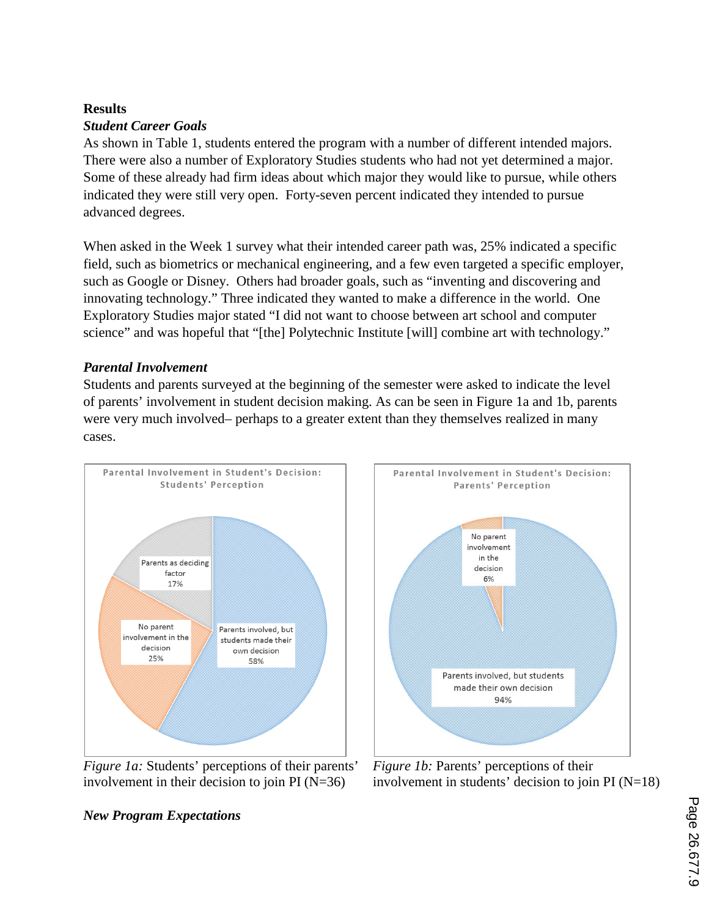### **Results**

### *Student Career Goals*

As shown in Table 1, students entered the program with a number of different intended majors. There were also a number of Exploratory Studies students who had not yet determined a major. Some of these already had firm ideas about which major they would like to pursue, while others indicated they were still very open. Forty-seven percent indicated they intended to pursue advanced degrees.

When asked in the Week 1 survey what their intended career path was, 25% indicated a specific field, such as biometrics or mechanical engineering, and a few even targeted a specific employer, such as Google or Disney. Others had broader goals, such as "inventing and discovering and innovating technology." Three indicated they wanted to make a difference in the world. One Exploratory Studies major stated "I did not want to choose between art school and computer science" and was hopeful that "[the] Polytechnic Institute [will] combine art with technology."

### *Parental Involvement*

Students and parents surveyed at the beginning of the semester were asked to indicate the level of parents' involvement in student decision making. As can be seen in Figure 1a and 1b, parents were very much involved– perhaps to a greater extent than they themselves realized in many cases.



*Figure 1a:* Students' perceptions of their parents' involvement in their decision to join PI  $(N=36)$ 



*Figure 1b:* Parents' perceptions of their involvement in students' decision to join  $PI(N=18)$ 

## *New Program Expectations*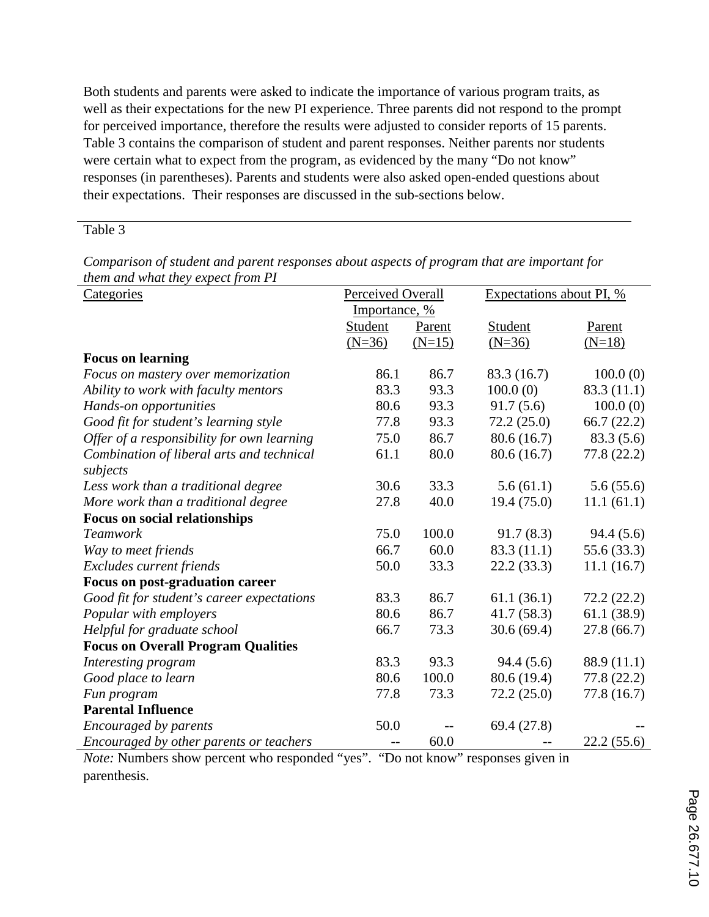Both students and parents were asked to indicate the importance of various program traits, as well as their expectations for the new PI experience. Three parents did not respond to the prompt for perceived importance, therefore the results were adjusted to consider reports of 15 parents. Table 3 contains the comparison of student and parent responses. Neither parents nor students were certain what to expect from the program, as evidenced by the many "Do not know" responses (in parentheses). Parents and students were also asked open-ended questions about their expectations. Their responses are discussed in the sub-sections below.

#### Table 3

| Categories                                            | Perceived Overall |          |             | Expectations about PI, % |  |  |
|-------------------------------------------------------|-------------------|----------|-------------|--------------------------|--|--|
|                                                       | Importance, %     |          |             |                          |  |  |
|                                                       | Student           | Parent   | Student     | Parent                   |  |  |
|                                                       | $(N=36)$          | $(N=15)$ | $(N=36)$    | $(N=18)$                 |  |  |
| <b>Focus on learning</b>                              |                   |          |             |                          |  |  |
| Focus on mastery over memorization                    | 86.1              | 86.7     | 83.3 (16.7) | 100.0(0)                 |  |  |
| Ability to work with faculty mentors                  | 83.3              | 93.3     | 100.0(0)    | 83.3(11.1)               |  |  |
| Hands-on opportunities                                | 80.6              | 93.3     | 91.7(5.6)   | 100.0(0)                 |  |  |
| Good fit for student's learning style                 | 77.8              | 93.3     | 72.2(25.0)  | 66.7 $(22.2)$            |  |  |
| Offer of a responsibility for own learning            | 75.0              | 86.7     | 80.6(16.7)  | 83.3(5.6)                |  |  |
| Combination of liberal arts and technical<br>subjects | 61.1              | 80.0     | 80.6(16.7)  | 77.8 (22.2)              |  |  |
| Less work than a traditional degree                   | 30.6              | 33.3     | 5.6(61.1)   | 5.6(55.6)                |  |  |
| More work than a traditional degree                   | 27.8              | 40.0     | 19.4(75.0)  | 11.1(61.1)               |  |  |
| <b>Focus on social relationships</b>                  |                   |          |             |                          |  |  |
| <b>Teamwork</b>                                       | 75.0              | 100.0    | 91.7(8.3)   | 94.4(5.6)                |  |  |
| Way to meet friends                                   | 66.7              | 60.0     | 83.3 (11.1) | 55.6 (33.3)              |  |  |
| Excludes current friends                              | 50.0              | 33.3     | 22.2(33.3)  | 11.1(16.7)               |  |  |
| Focus on post-graduation career                       |                   |          |             |                          |  |  |
| Good fit for student's career expectations            | 83.3              | 86.7     | 61.1(36.1)  | 72.2(22.2)               |  |  |
| Popular with employers                                | 80.6              | 86.7     | 41.7(58.3)  | 61.1(38.9)               |  |  |
| Helpful for graduate school                           | 66.7              | 73.3     | 30.6(69.4)  | 27.8(66.7)               |  |  |
| <b>Focus on Overall Program Qualities</b>             |                   |          |             |                          |  |  |
| Interesting program                                   | 83.3              | 93.3     | 94.4(5.6)   | 88.9 (11.1)              |  |  |
| Good place to learn                                   | 80.6              | 100.0    | 80.6 (19.4) | 77.8 (22.2)              |  |  |
| Fun program                                           | 77.8              | 73.3     | 72.2(25.0)  | 77.8 (16.7)              |  |  |
| <b>Parental Influence</b>                             |                   |          |             |                          |  |  |
| Encouraged by parents                                 | 50.0              |          | 69.4 (27.8) |                          |  |  |
| Encouraged by other parents or teachers               |                   | 60.0     |             | 22.2(55.6)               |  |  |

*Comparison of student and parent responses about aspects of program that are important for them and what they expect from PI*

*Note:* Numbers show percent who responded "yes". "Do not know" responses given in parenthesis.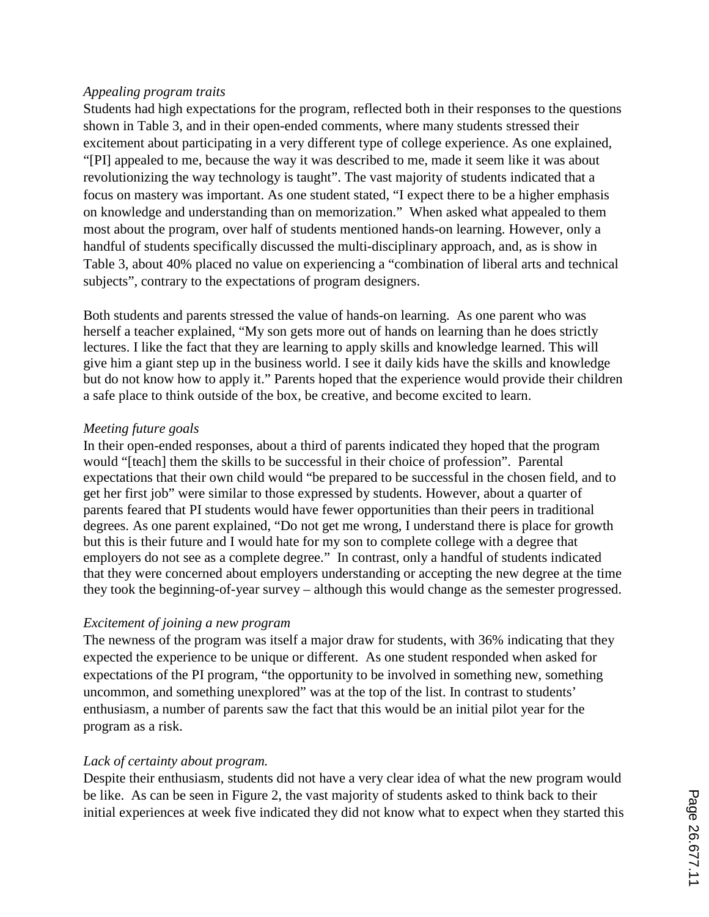#### *Appealing program traits*

Students had high expectations for the program, reflected both in their responses to the questions shown in Table 3, and in their open-ended comments, where many students stressed their excitement about participating in a very different type of college experience. As one explained, "[PI] appealed to me, because the way it was described to me, made it seem like it was about revolutionizing the way technology is taught". The vast majority of students indicated that a focus on mastery was important. As one student stated, "I expect there to be a higher emphasis on knowledge and understanding than on memorization." When asked what appealed to them most about the program, over half of students mentioned hands-on learning. However, only a handful of students specifically discussed the multi-disciplinary approach, and, as is show in Table 3, about 40% placed no value on experiencing a "combination of liberal arts and technical subjects", contrary to the expectations of program designers.

Both students and parents stressed the value of hands-on learning. As one parent who was herself a teacher explained, "My son gets more out of hands on learning than he does strictly lectures. I like the fact that they are learning to apply skills and knowledge learned. This will give him a giant step up in the business world. I see it daily kids have the skills and knowledge but do not know how to apply it." Parents hoped that the experience would provide their children a safe place to think outside of the box, be creative, and become excited to learn.

### *Meeting future goals*

In their open-ended responses, about a third of parents indicated they hoped that the program would "[teach] them the skills to be successful in their choice of profession". Parental expectations that their own child would "be prepared to be successful in the chosen field, and to get her first job" were similar to those expressed by students. However, about a quarter of parents feared that PI students would have fewer opportunities than their peers in traditional degrees. As one parent explained, "Do not get me wrong, I understand there is place for growth but this is their future and I would hate for my son to complete college with a degree that employers do not see as a complete degree." In contrast, only a handful of students indicated that they were concerned about employers understanding or accepting the new degree at the time they took the beginning-of-year survey – although this would change as the semester progressed.

### *Excitement of joining a new program*

The newness of the program was itself a major draw for students, with 36% indicating that they expected the experience to be unique or different. As one student responded when asked for expectations of the PI program, "the opportunity to be involved in something new, something uncommon, and something unexplored" was at the top of the list. In contrast to students' enthusiasm, a number of parents saw the fact that this would be an initial pilot year for the program as a risk.

### *Lack of certainty about program.*

Despite their enthusiasm, students did not have a very clear idea of what the new program would be like. As can be seen in Figure 2, the vast majority of students asked to think back to their initial experiences at week five indicated they did not know what to expect when they started this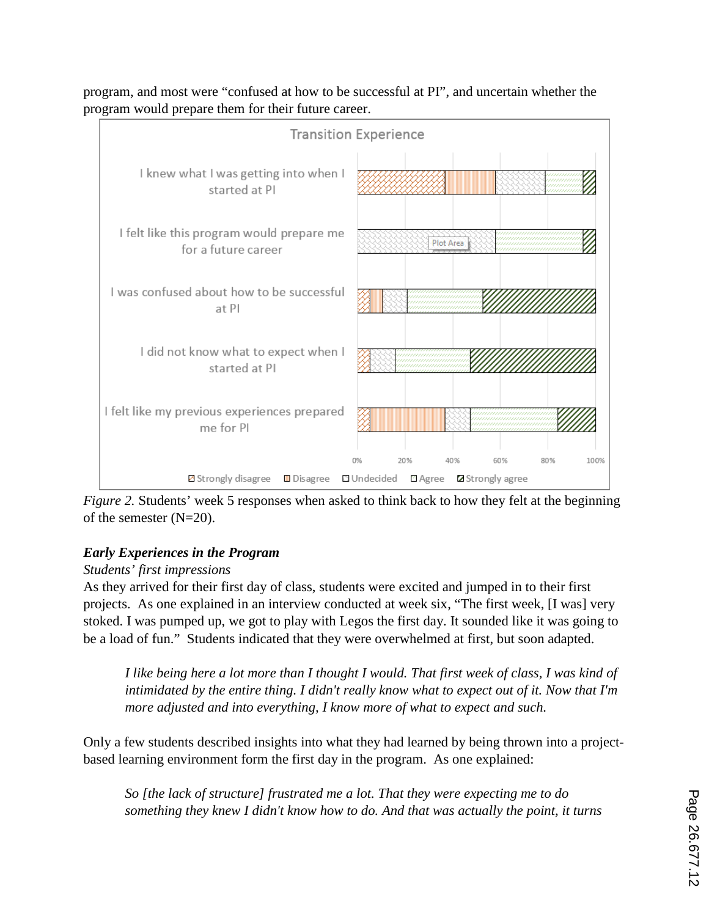

program, and most were "confused at how to be successful at PI", and uncertain whether the program would prepare them for their future career.

*Figure 2.* Students' week 5 responses when asked to think back to how they felt at the beginning of the semester (N=20).

## *Early Experiences in the Program*

### *Students' first impressions*

As they arrived for their first day of class, students were excited and jumped in to their first projects. As one explained in an interview conducted at week six, "The first week, [I was] very stoked. I was pumped up, we got to play with Legos the first day. It sounded like it was going to be a load of fun." Students indicated that they were overwhelmed at first, but soon adapted.

*I like being here a lot more than I thought I would. That first week of class, I was kind of intimidated by the entire thing. I didn't really know what to expect out of it. Now that I'm more adjusted and into everything, I know more of what to expect and such.*

Only a few students described insights into what they had learned by being thrown into a projectbased learning environment form the first day in the program. As one explained:

*So [the lack of structure] frustrated me a lot. That they were expecting me to do something they knew I didn't know how to do. And that was actually the point, it turns*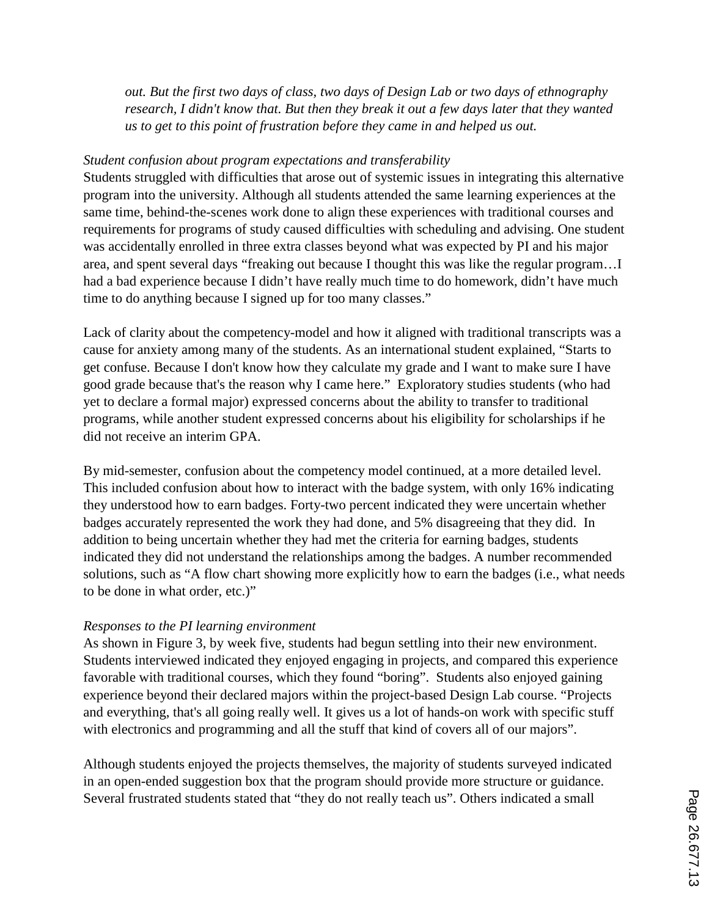*out. But the first two days of class, two days of Design Lab or two days of ethnography research, I didn't know that. But then they break it out a few days later that they wanted us to get to this point of frustration before they came in and helped us out.*

#### *Student confusion about program expectations and transferability*

Students struggled with difficulties that arose out of systemic issues in integrating this alternative program into the university. Although all students attended the same learning experiences at the same time, behind-the-scenes work done to align these experiences with traditional courses and requirements for programs of study caused difficulties with scheduling and advising. One student was accidentally enrolled in three extra classes beyond what was expected by PI and his major area, and spent several days "freaking out because I thought this was like the regular program…I had a bad experience because I didn't have really much time to do homework, didn't have much time to do anything because I signed up for too many classes."

Lack of clarity about the competency-model and how it aligned with traditional transcripts was a cause for anxiety among many of the students. As an international student explained, "Starts to get confuse. Because I don't know how they calculate my grade and I want to make sure I have good grade because that's the reason why I came here." Exploratory studies students (who had yet to declare a formal major) expressed concerns about the ability to transfer to traditional programs, while another student expressed concerns about his eligibility for scholarships if he did not receive an interim GPA.

By mid-semester, confusion about the competency model continued, at a more detailed level. This included confusion about how to interact with the badge system, with only 16% indicating they understood how to earn badges. Forty-two percent indicated they were uncertain whether badges accurately represented the work they had done, and 5% disagreeing that they did. In addition to being uncertain whether they had met the criteria for earning badges, students indicated they did not understand the relationships among the badges. A number recommended solutions, such as "A flow chart showing more explicitly how to earn the badges (i.e., what needs to be done in what order, etc.)"

### *Responses to the PI learning environment*

As shown in Figure 3, by week five, students had begun settling into their new environment. Students interviewed indicated they enjoyed engaging in projects, and compared this experience favorable with traditional courses, which they found "boring". Students also enjoyed gaining experience beyond their declared majors within the project-based Design Lab course. "Projects and everything, that's all going really well. It gives us a lot of hands-on work with specific stuff with electronics and programming and all the stuff that kind of covers all of our majors".

Although students enjoyed the projects themselves, the majority of students surveyed indicated in an open-ended suggestion box that the program should provide more structure or guidance. Several frustrated students stated that "they do not really teach us". Others indicated a small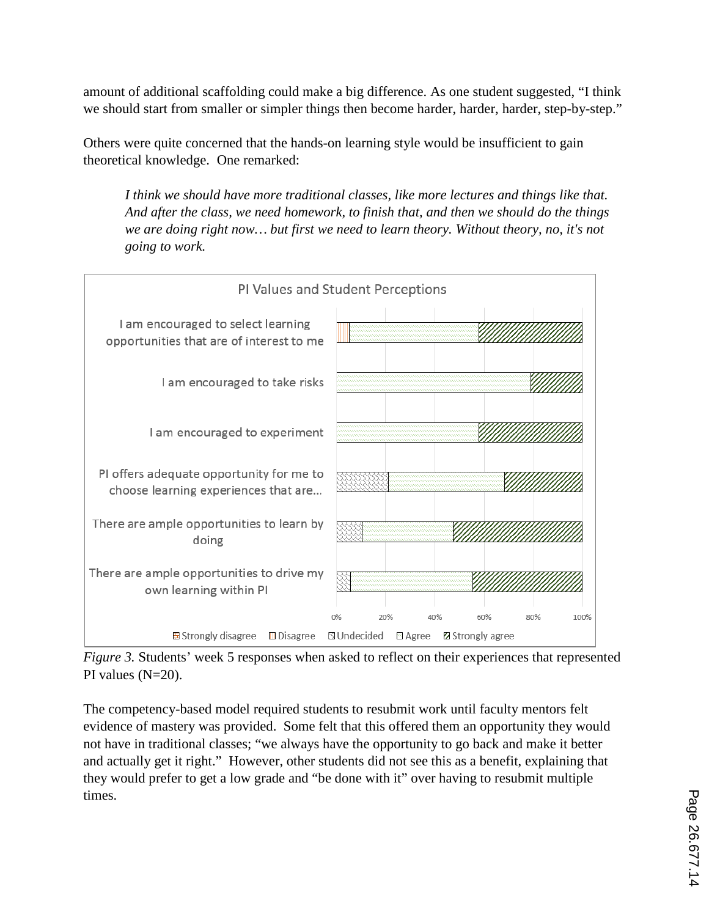amount of additional scaffolding could make a big difference. As one student suggested, "I think we should start from smaller or simpler things then become harder, harder, harder, step-by-step."

Others were quite concerned that the hands-on learning style would be insufficient to gain theoretical knowledge. One remarked:

*I think we should have more traditional classes, like more lectures and things like that. And after the class, we need homework, to finish that, and then we should do the things we are doing right now… but first we need to learn theory. Without theory, no, it's not going to work.*



*Figure 3.* Students' week 5 responses when asked to reflect on their experiences that represented PI values (N=20).

The competency-based model required students to resubmit work until faculty mentors felt evidence of mastery was provided. Some felt that this offered them an opportunity they would not have in traditional classes; "we always have the opportunity to go back and make it better and actually get it right." However, other students did not see this as a benefit, explaining that they would prefer to get a low grade and "be done with it" over having to resubmit multiple times.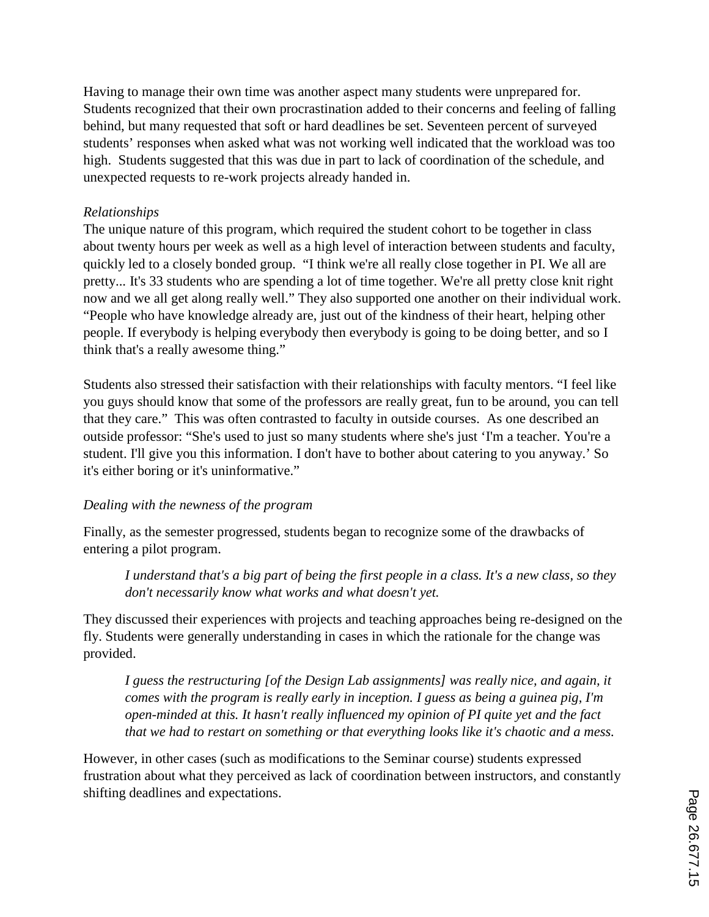Having to manage their own time was another aspect many students were unprepared for. Students recognized that their own procrastination added to their concerns and feeling of falling behind, but many requested that soft or hard deadlines be set. Seventeen percent of surveyed students' responses when asked what was not working well indicated that the workload was too high. Students suggested that this was due in part to lack of coordination of the schedule, and unexpected requests to re-work projects already handed in.

### *Relationships*

The unique nature of this program, which required the student cohort to be together in class about twenty hours per week as well as a high level of interaction between students and faculty, quickly led to a closely bonded group. "I think we're all really close together in PI. We all are pretty... It's 33 students who are spending a lot of time together. We're all pretty close knit right now and we all get along really well." They also supported one another on their individual work. "People who have knowledge already are, just out of the kindness of their heart, helping other people. If everybody is helping everybody then everybody is going to be doing better, and so I think that's a really awesome thing."

Students also stressed their satisfaction with their relationships with faculty mentors. "I feel like you guys should know that some of the professors are really great, fun to be around, you can tell that they care." This was often contrasted to faculty in outside courses. As one described an outside professor: "She's used to just so many students where she's just 'I'm a teacher. You're a student. I'll give you this information. I don't have to bother about catering to you anyway.' So it's either boring or it's uninformative."

### *Dealing with the newness of the program*

Finally, as the semester progressed, students began to recognize some of the drawbacks of entering a pilot program.

*I understand that's a big part of being the first people in a class. It's a new class, so they don't necessarily know what works and what doesn't yet.* 

They discussed their experiences with projects and teaching approaches being re-designed on the fly. Students were generally understanding in cases in which the rationale for the change was provided.

*I guess the restructuring [of the Design Lab assignments] was really nice, and again, it comes with the program is really early in inception. I guess as being a guinea pig, I'm open-minded at this. It hasn't really influenced my opinion of PI quite yet and the fact that we had to restart on something or that everything looks like it's chaotic and a mess.*

However, in other cases (such as modifications to the Seminar course) students expressed frustration about what they perceived as lack of coordination between instructors, and constantly shifting deadlines and expectations.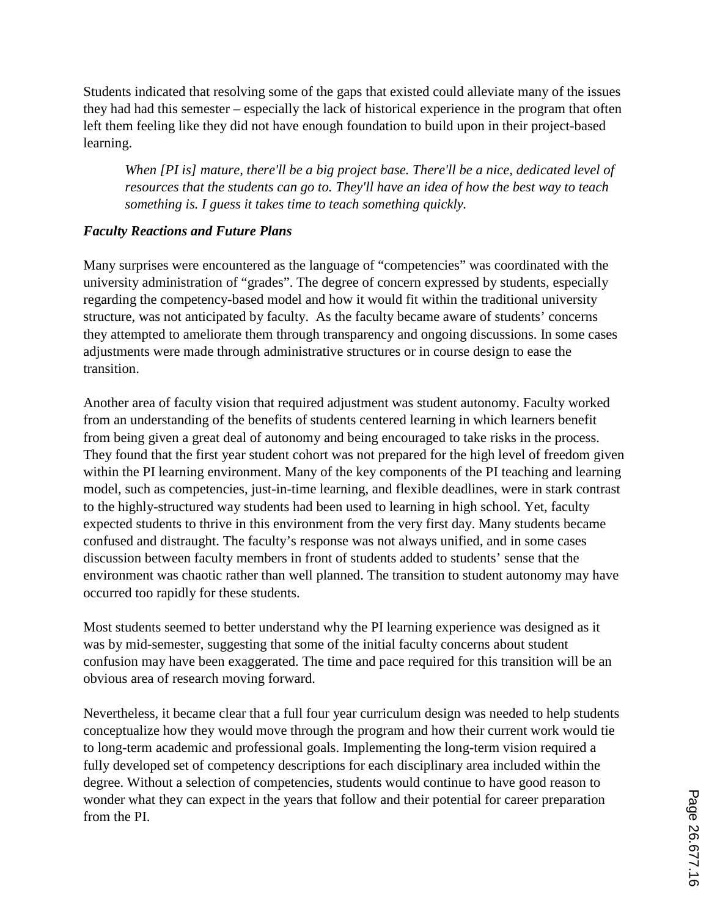Students indicated that resolving some of the gaps that existed could alleviate many of the issues they had had this semester – especially the lack of historical experience in the program that often left them feeling like they did not have enough foundation to build upon in their project-based learning.

*When [PI is] mature, there'll be a big project base. There'll be a nice, dedicated level of resources that the students can go to. They'll have an idea of how the best way to teach something is. I guess it takes time to teach something quickly.*

### *Faculty Reactions and Future Plans*

Many surprises were encountered as the language of "competencies" was coordinated with the university administration of "grades". The degree of concern expressed by students, especially regarding the competency-based model and how it would fit within the traditional university structure, was not anticipated by faculty. As the faculty became aware of students' concerns they attempted to ameliorate them through transparency and ongoing discussions. In some cases adjustments were made through administrative structures or in course design to ease the transition.

Another area of faculty vision that required adjustment was student autonomy. Faculty worked from an understanding of the benefits of students centered learning in which learners benefit from being given a great deal of autonomy and being encouraged to take risks in the process. They found that the first year student cohort was not prepared for the high level of freedom given within the PI learning environment. Many of the key components of the PI teaching and learning model, such as competencies, just-in-time learning, and flexible deadlines, were in stark contrast to the highly-structured way students had been used to learning in high school. Yet, faculty expected students to thrive in this environment from the very first day. Many students became confused and distraught. The faculty's response was not always unified, and in some cases discussion between faculty members in front of students added to students' sense that the environment was chaotic rather than well planned. The transition to student autonomy may have occurred too rapidly for these students.

Most students seemed to better understand why the PI learning experience was designed as it was by mid-semester, suggesting that some of the initial faculty concerns about student confusion may have been exaggerated. The time and pace required for this transition will be an obvious area of research moving forward.

Nevertheless, it became clear that a full four year curriculum design was needed to help students conceptualize how they would move through the program and how their current work would tie to long-term academic and professional goals. Implementing the long-term vision required a fully developed set of competency descriptions for each disciplinary area included within the degree. Without a selection of competencies, students would continue to have good reason to wonder what they can expect in the years that follow and their potential for career preparation from the PI.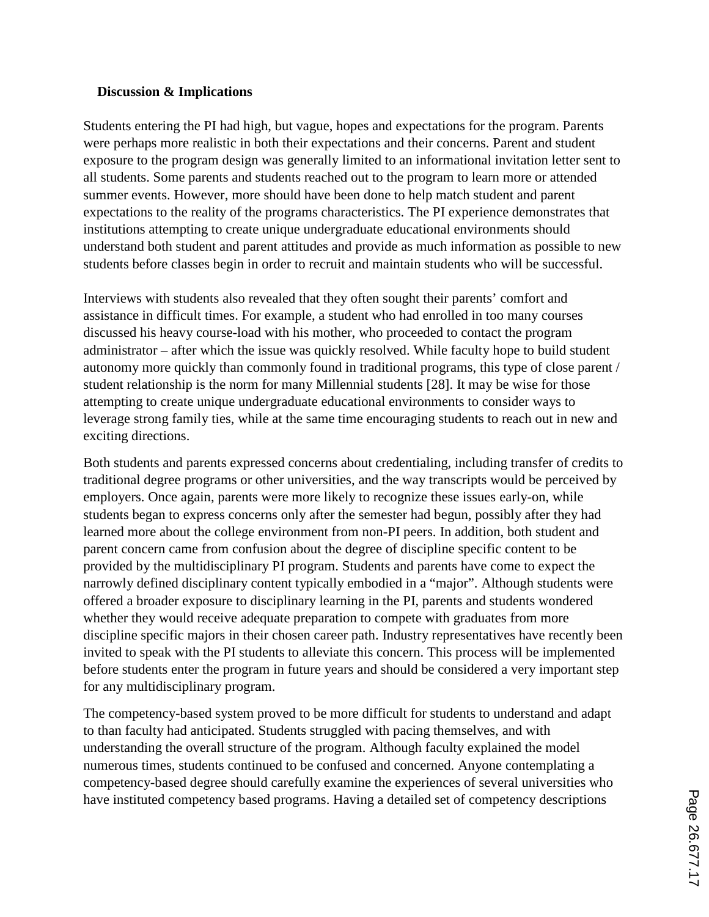#### **Discussion & Implications**

Students entering the PI had high, but vague, hopes and expectations for the program. Parents were perhaps more realistic in both their expectations and their concerns. Parent and student exposure to the program design was generally limited to an informational invitation letter sent to all students. Some parents and students reached out to the program to learn more or attended summer events. However, more should have been done to help match student and parent expectations to the reality of the programs characteristics. The PI experience demonstrates that institutions attempting to create unique undergraduate educational environments should understand both student and parent attitudes and provide as much information as possible to new students before classes begin in order to recruit and maintain students who will be successful.

Interviews with students also revealed that they often sought their parents' comfort and assistance in difficult times. For example, a student who had enrolled in too many courses discussed his heavy course-load with his mother, who proceeded to contact the program administrator – after which the issue was quickly resolved. While faculty hope to build student autonomy more quickly than commonly found in traditional programs, this type of close parent / student relationship is the norm for many Millennial students [28]. It may be wise for those attempting to create unique undergraduate educational environments to consider ways to leverage strong family ties, while at the same time encouraging students to reach out in new and exciting directions.

Both students and parents expressed concerns about credentialing, including transfer of credits to traditional degree programs or other universities, and the way transcripts would be perceived by employers. Once again, parents were more likely to recognize these issues early-on, while students began to express concerns only after the semester had begun, possibly after they had learned more about the college environment from non-PI peers. In addition, both student and parent concern came from confusion about the degree of discipline specific content to be provided by the multidisciplinary PI program. Students and parents have come to expect the narrowly defined disciplinary content typically embodied in a "major". Although students were offered a broader exposure to disciplinary learning in the PI, parents and students wondered whether they would receive adequate preparation to compete with graduates from more discipline specific majors in their chosen career path. Industry representatives have recently been invited to speak with the PI students to alleviate this concern. This process will be implemented before students enter the program in future years and should be considered a very important step for any multidisciplinary program.

The competency-based system proved to be more difficult for students to understand and adapt to than faculty had anticipated. Students struggled with pacing themselves, and with understanding the overall structure of the program. Although faculty explained the model numerous times, students continued to be confused and concerned. Anyone contemplating a competency-based degree should carefully examine the experiences of several universities who have instituted competency based programs. Having a detailed set of competency descriptions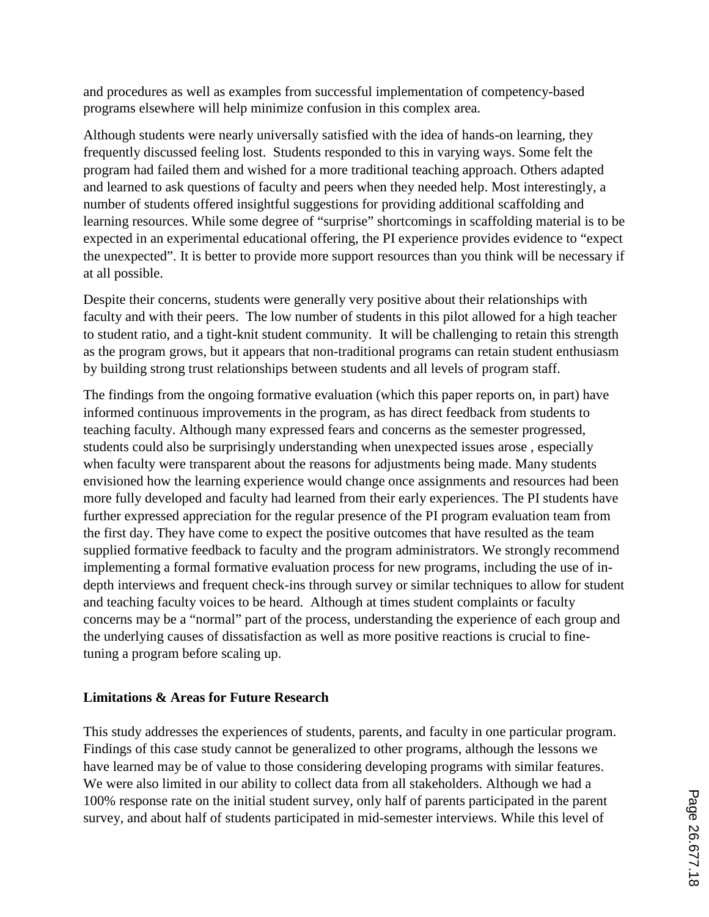and procedures as well as examples from successful implementation of competency-based programs elsewhere will help minimize confusion in this complex area.

Although students were nearly universally satisfied with the idea of hands-on learning, they frequently discussed feeling lost. Students responded to this in varying ways. Some felt the program had failed them and wished for a more traditional teaching approach. Others adapted and learned to ask questions of faculty and peers when they needed help. Most interestingly, a number of students offered insightful suggestions for providing additional scaffolding and learning resources. While some degree of "surprise" shortcomings in scaffolding material is to be expected in an experimental educational offering, the PI experience provides evidence to "expect the unexpected". It is better to provide more support resources than you think will be necessary if at all possible.

Despite their concerns, students were generally very positive about their relationships with faculty and with their peers. The low number of students in this pilot allowed for a high teacher to student ratio, and a tight-knit student community. It will be challenging to retain this strength as the program grows, but it appears that non-traditional programs can retain student enthusiasm by building strong trust relationships between students and all levels of program staff.

The findings from the ongoing formative evaluation (which this paper reports on, in part) have informed continuous improvements in the program, as has direct feedback from students to teaching faculty. Although many expressed fears and concerns as the semester progressed, students could also be surprisingly understanding when unexpected issues arose , especially when faculty were transparent about the reasons for adjustments being made. Many students envisioned how the learning experience would change once assignments and resources had been more fully developed and faculty had learned from their early experiences. The PI students have further expressed appreciation for the regular presence of the PI program evaluation team from the first day. They have come to expect the positive outcomes that have resulted as the team supplied formative feedback to faculty and the program administrators. We strongly recommend implementing a formal formative evaluation process for new programs, including the use of indepth interviews and frequent check-ins through survey or similar techniques to allow for student and teaching faculty voices to be heard. Although at times student complaints or faculty concerns may be a "normal" part of the process, understanding the experience of each group and the underlying causes of dissatisfaction as well as more positive reactions is crucial to finetuning a program before scaling up.

### **Limitations & Areas for Future Research**

This study addresses the experiences of students, parents, and faculty in one particular program. Findings of this case study cannot be generalized to other programs, although the lessons we have learned may be of value to those considering developing programs with similar features. We were also limited in our ability to collect data from all stakeholders. Although we had a 100% response rate on the initial student survey, only half of parents participated in the parent survey, and about half of students participated in mid-semester interviews. While this level of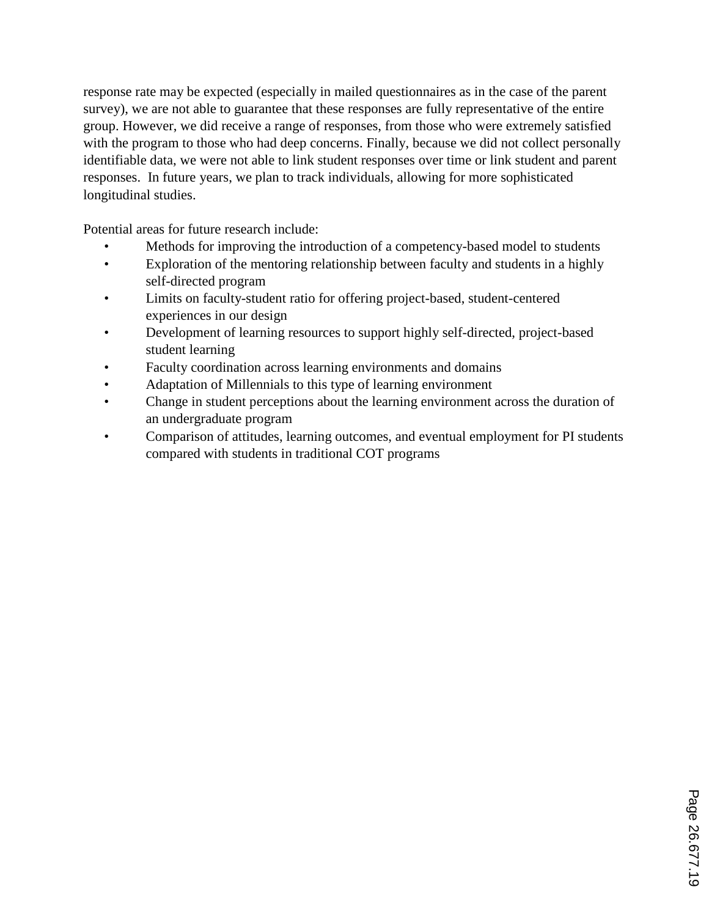response rate may be expected (especially in mailed questionnaires as in the case of the parent survey), we are not able to guarantee that these responses are fully representative of the entire group. However, we did receive a range of responses, from those who were extremely satisfied with the program to those who had deep concerns. Finally, because we did not collect personally identifiable data, we were not able to link student responses over time or link student and parent responses. In future years, we plan to track individuals, allowing for more sophisticated longitudinal studies.

Potential areas for future research include:

- Methods for improving the introduction of a competency-based model to students
- Exploration of the mentoring relationship between faculty and students in a highly self-directed program
- Limits on faculty-student ratio for offering project-based, student-centered experiences in our design
- Development of learning resources to support highly self-directed, project-based student learning
- Faculty coordination across learning environments and domains
- Adaptation of Millennials to this type of learning environment
- Change in student perceptions about the learning environment across the duration of an undergraduate program
- Comparison of attitudes, learning outcomes, and eventual employment for PI students compared with students in traditional COT programs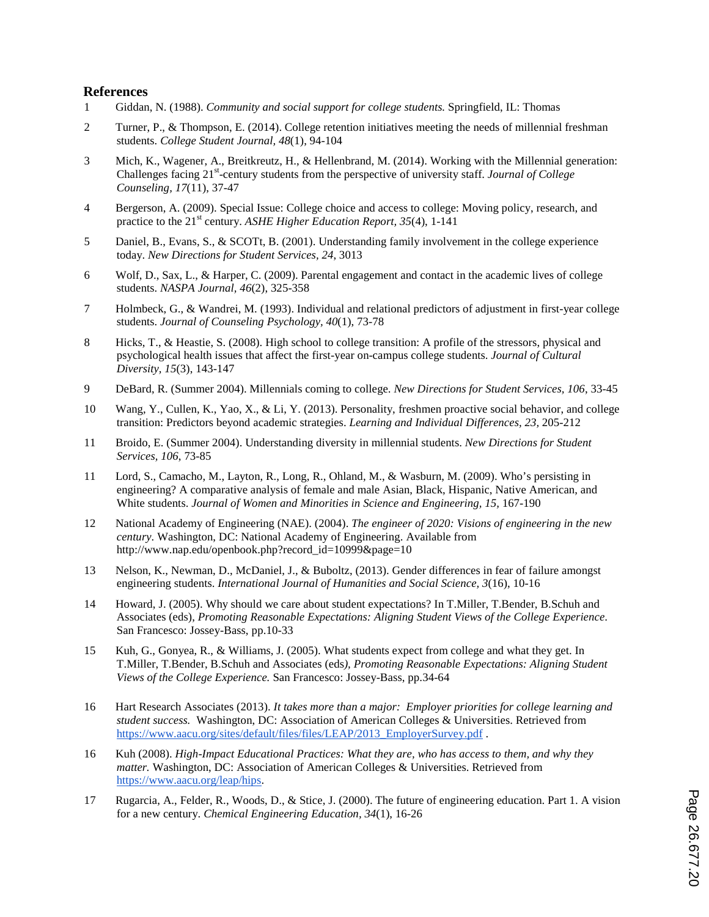#### **References**

- 1 Giddan, N. (1988). *Community and social support for college students.* Springfield, IL: Thomas
- 2 Turner, P., & Thompson, E. (2014). College retention initiatives meeting the needs of millennial freshman students. *College Student Journal, 48*(1), 94-104
- 3 Mich, K., Wagener, A., Breitkreutz, H., & Hellenbrand, M. (2014). Working with the Millennial generation: Challenges facing 21<sup>st</sup>-century students from the perspective of university staff. *Journal of College Counseling, 17*(11), 37-47
- 4 Bergerson, A. (2009). Special Issue: College choice and access to college: Moving policy, research, and practice to the 21<sup>st</sup> century. *ASHE Higher Education Report, 35*(4), 1-141
- 5 Daniel, B., Evans, S., & SCOTt, B. (2001). Understanding family involvement in the college experience today. *New Directions for Student Services, 24*, 3013
- 6 Wolf, D., Sax, L., & Harper, C. (2009). Parental engagement and contact in the academic lives of college students. *NASPA Journal, 46*(2), 325-358
- 7 Holmbeck, G., & Wandrei, M. (1993). Individual and relational predictors of adjustment in first-year college students. *Journal of Counseling Psychology, 40*(1), 73-78
- 8 Hicks, T., & Heastie, S. (2008). High school to college transition: A profile of the stressors, physical and psychological health issues that affect the first-year on-campus college students. *Journal of Cultural Diversity, 15*(3), 143-147
- 9 DeBard, R. (Summer 2004). Millennials coming to college. *New Directions for Student Services, 106*, 33-45
- 10 Wang, Y., Cullen, K., Yao, X., & Li, Y. (2013). Personality, freshmen proactive social behavior, and college transition: Predictors beyond academic strategies. *Learning and Individual Differences, 23,* 205-212
- 11 Broido, E. (Summer 2004). Understanding diversity in millennial students. *New Directions for Student Services, 106*, 73-85
- 11 Lord, S., Camacho, M., Layton, R., Long, R., Ohland, M., & Wasburn, M. (2009). Who's persisting in engineering? A comparative analysis of female and male Asian, Black, Hispanic, Native American, and White students. *Journal of Women and Minorities in Science and Engineering, 15,* 167-190
- 12 National Academy of Engineering (NAE). (2004). *The engineer of 2020: Visions of engineering in the new century*. Washington, DC: National Academy of Engineering. Available from http://www.nap.edu/openbook.php?record\_id=10999&page=10
- 13 Nelson, K., Newman, D., McDaniel, J., & Buboltz, (2013). Gender differences in fear of failure amongst engineering students. *International Journal of Humanities and Social Science, 3*(16), 10-16
- 14 Howard, J. (2005). Why should we care about student expectations? In T.Miller, T.Bender, B.Schuh and Associates (eds), *Promoting Reasonable Expectations: Aligning Student Views of the College Experience*. San Francesco: Jossey-Bass, pp.10-33
- 15 Kuh, G., Gonyea, R., & Williams, J. (2005). What students expect from college and what they get. In T.Miller, T.Bender, B.Schuh and Associates (eds*), Promoting Reasonable Expectations: Aligning Student Views of the College Experience.* San Francesco: Jossey-Bass, pp.34-64
- 16 Hart Research Associates (2013). *It takes more than a major: Employer priorities for college learning and student success.* Washington, DC: Association of American Colleges & Universities. Retrieved from https://www.aacu.org/sites/default/files/files/LEAP/2013\_EmployerSurvey.pdf .
- 16 Kuh (2008). *High-Impact Educational Practices: What they are, who has access to them, and why they matter.* Washington, DC: Association of American Colleges & Universities. Retrieved from https://www.aacu.org/leap/hips.
- 17 Rugarcia, A., Felder, R., Woods, D., & Stice, J. (2000). The future of engineering education. Part 1. A vision for a new century. *Chemical Engineering Education, 34*(1), 16-26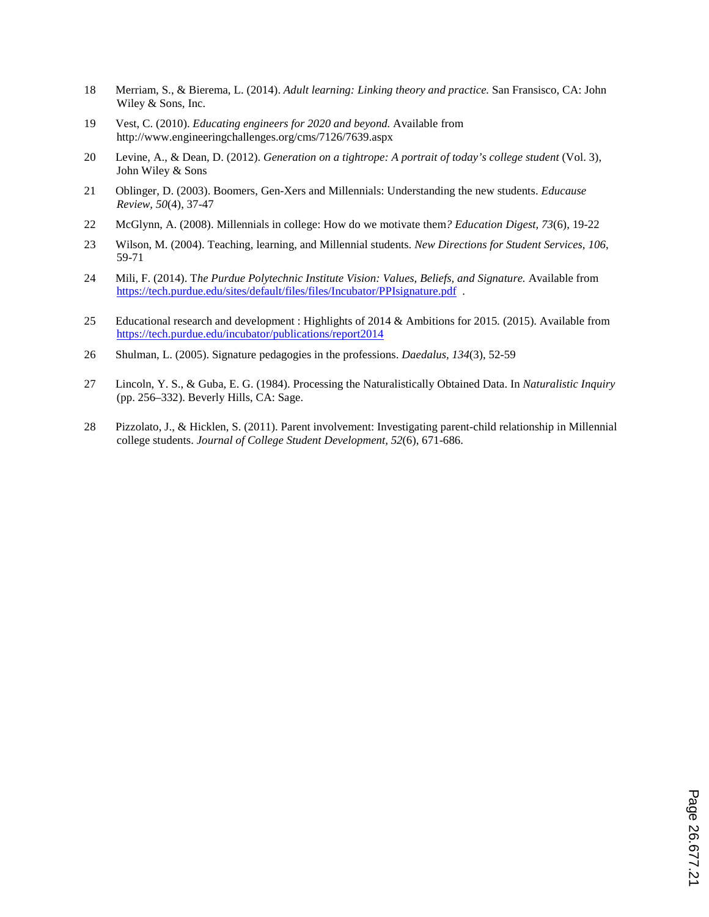- 18 Merriam, S., & Bierema, L. (2014). *Adult learning: Linking theory and practice.* San Fransisco, CA: John Wiley & Sons, Inc.
- 19 Vest, C. (2010). *Educating engineers for 2020 and beyond.* Available from http://www.engineeringchallenges.org/cms/7126/7639.aspx
- 20 Levine, A., & Dean, D. (2012). *Generation on a tightrope: A portrait of today's college student* (Vol. 3), John Wiley & Sons
- 21 Oblinger, D. (2003). Boomers, Gen-Xers and Millennials: Understanding the new students. *Educause Review, 50*(4), 37-47
- 22 McGlynn, A. (2008). Millennials in college: How do we motivate them*? Education Digest, 73*(6), 19-22
- 23 Wilson, M. (2004). Teaching, learning, and Millennial students. *New Directions for Student Services, 106*, 59-71
- 24 Mili, F. (2014). T*he Purdue Polytechnic Institute Vision: Values, Beliefs, and Signature.* Available from https://tech.purdue.edu/sites/default/files/files/Incubator/PPIsignature.pdf .
- 25 Educational research and development : Highlights of 2014 & Ambitions for 2015*.* (2015). Available from https://tech.purdue.edu/incubator/publications/report2014
- 26 Shulman, L. (2005). Signature pedagogies in the professions. *Daedalus, 134*(3), 52-59
- 27 Lincoln, Y. S., & Guba, E. G. (1984). Processing the Naturalistically Obtained Data. In *Naturalistic Inquiry* (pp. 256–332). Beverly Hills, CA: Sage.
- 28 Pizzolato, J., & Hicklen, S. (2011). Parent involvement: Investigating parent-child relationship in Millennial college students. *Journal of College Student Development, 52*(6), 671-686.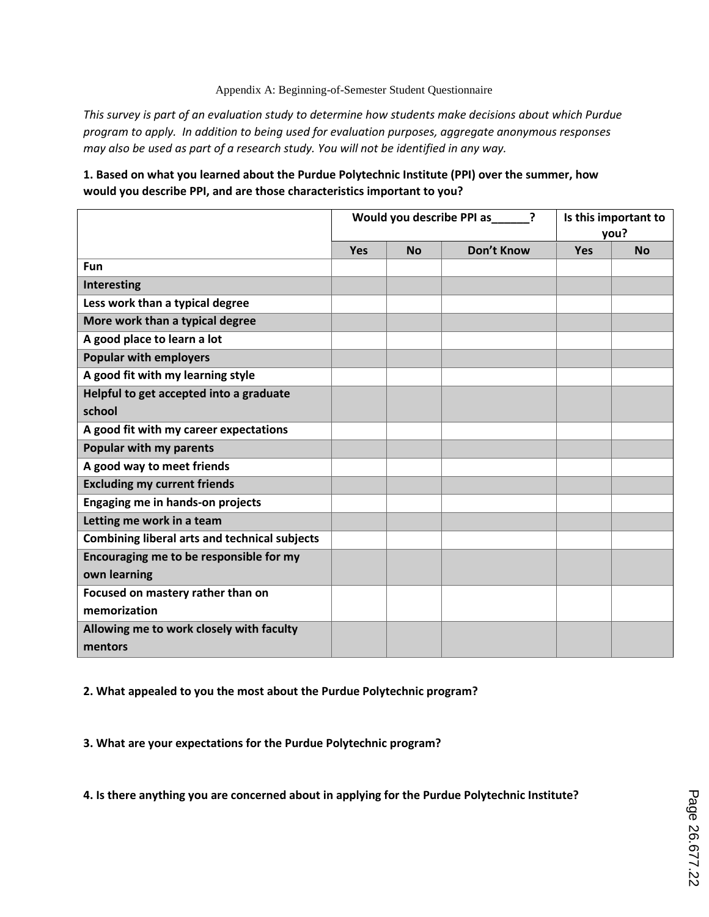#### Appendix A: Beginning-of-Semester Student Questionnaire

*This survey is part of an evaluation study to determine how students make decisions about which Purdue program to apply. In addition to being used for evaluation purposes, aggregate anonymous responses may also be used as part of a research study. You will not be identified in any way.*

#### **1. Based on what you learned about the Purdue Polytechnic Institute (PPI) over the summer, how would you describe PPI, and are those characteristics important to you?**

|                                                      |            | Would you describe PPI as_____ | Is this important to<br>you? |            |           |
|------------------------------------------------------|------------|--------------------------------|------------------------------|------------|-----------|
|                                                      | <b>Yes</b> | <b>No</b>                      | Don't Know                   | <b>Yes</b> | <b>No</b> |
| Fun                                                  |            |                                |                              |            |           |
| Interesting                                          |            |                                |                              |            |           |
| Less work than a typical degree                      |            |                                |                              |            |           |
| More work than a typical degree                      |            |                                |                              |            |           |
| A good place to learn a lot                          |            |                                |                              |            |           |
| <b>Popular with employers</b>                        |            |                                |                              |            |           |
| A good fit with my learning style                    |            |                                |                              |            |           |
| Helpful to get accepted into a graduate              |            |                                |                              |            |           |
| school                                               |            |                                |                              |            |           |
| A good fit with my career expectations               |            |                                |                              |            |           |
| Popular with my parents                              |            |                                |                              |            |           |
| A good way to meet friends                           |            |                                |                              |            |           |
| <b>Excluding my current friends</b>                  |            |                                |                              |            |           |
| Engaging me in hands-on projects                     |            |                                |                              |            |           |
| Letting me work in a team                            |            |                                |                              |            |           |
| <b>Combining liberal arts and technical subjects</b> |            |                                |                              |            |           |
| Encouraging me to be responsible for my              |            |                                |                              |            |           |
| own learning                                         |            |                                |                              |            |           |
| Focused on mastery rather than on                    |            |                                |                              |            |           |
| memorization                                         |            |                                |                              |            |           |
| Allowing me to work closely with faculty             |            |                                |                              |            |           |
| mentors                                              |            |                                |                              |            |           |

**2. What appealed to you the most about the Purdue Polytechnic program?**

**3. What are your expectations for the Purdue Polytechnic program?**

**4. Is there anything you are concerned about in applying for the Purdue Polytechnic Institute?**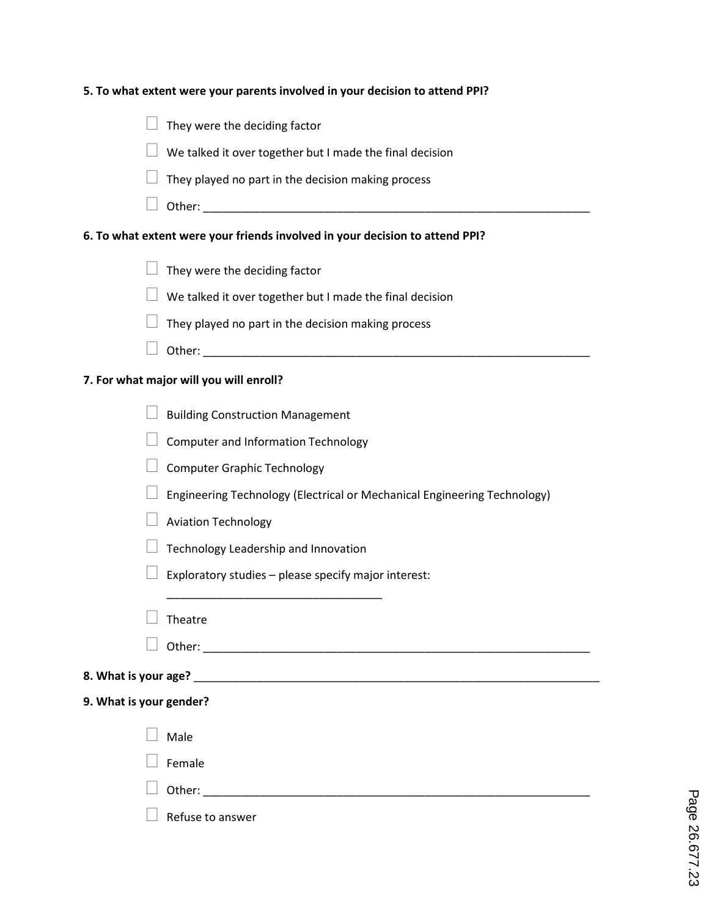| 5. To what extent were your parents involved in your decision to attend PPI?                                                                                                                                                   |
|--------------------------------------------------------------------------------------------------------------------------------------------------------------------------------------------------------------------------------|
| They were the deciding factor                                                                                                                                                                                                  |
| We talked it over together but I made the final decision                                                                                                                                                                       |
| They played no part in the decision making process                                                                                                                                                                             |
| Other: will be a state of the state of the state of the state of the state of the state of the state of the state of the state of the state of the state of the state of the state of the state of the state of the state of t |
| 6. To what extent were your friends involved in your decision to attend PPI?                                                                                                                                                   |
| They were the deciding factor                                                                                                                                                                                                  |
| We talked it over together but I made the final decision                                                                                                                                                                       |
| They played no part in the decision making process                                                                                                                                                                             |
|                                                                                                                                                                                                                                |
| 7. For what major will you will enroll?                                                                                                                                                                                        |
| <b>Building Construction Management</b>                                                                                                                                                                                        |
| <b>Computer and Information Technology</b>                                                                                                                                                                                     |
| <b>Computer Graphic Technology</b>                                                                                                                                                                                             |
| Engineering Technology (Electrical or Mechanical Engineering Technology)                                                                                                                                                       |
| <b>Aviation Technology</b>                                                                                                                                                                                                     |
| Technology Leadership and Innovation                                                                                                                                                                                           |
| Exploratory studies - please specify major interest:                                                                                                                                                                           |
|                                                                                                                                                                                                                                |
| Theatre                                                                                                                                                                                                                        |
|                                                                                                                                                                                                                                |
|                                                                                                                                                                                                                                |
| 9. What is your gender?                                                                                                                                                                                                        |
| Male                                                                                                                                                                                                                           |
| Female                                                                                                                                                                                                                         |
|                                                                                                                                                                                                                                |
| Refuse to answer                                                                                                                                                                                                               |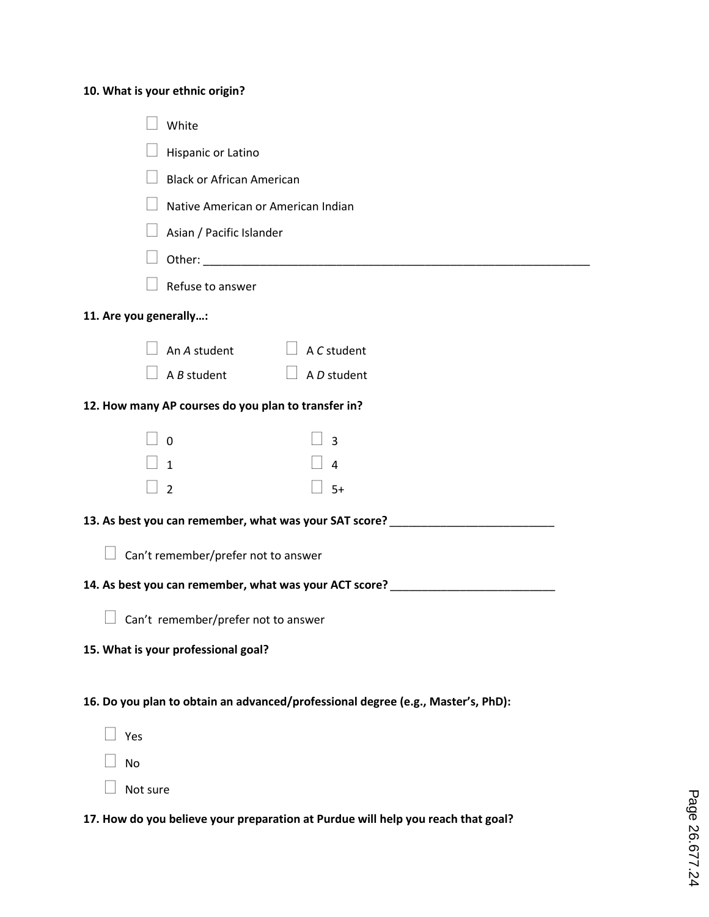## **10. What is your ethnic origin?**

| White                                                                            |
|----------------------------------------------------------------------------------|
|                                                                                  |
| Hispanic or Latino                                                               |
| <b>Black or African American</b>                                                 |
| Native American or American Indian                                               |
| Asian / Pacific Islander                                                         |
|                                                                                  |
| Refuse to answer                                                                 |
| 11. Are you generally:                                                           |
| An A student $\Box$ A C student                                                  |
| $\Box$ A D student<br>$\Box$ A B student                                         |
| 12. How many AP courses do you plan to transfer in?                              |
| $\overline{0}$<br>$\overline{\mathbf{3}}$                                        |
| $\vert$ 1<br>$\overline{4}$                                                      |
| $-5+$<br>$\overline{2}$                                                          |
| 13. As best you can remember, what was your SAT score? _________________________ |
|                                                                                  |
| $\Box$ Can't remember/prefer not to answer                                       |
| 14. As best you can remember, what was your ACT score? _________________________ |
| Can't remember/prefer not to answer                                              |
| 15. What is your professional goal?                                              |
|                                                                                  |
| 16. Do you plan to obtain an advanced/professional degree (e.g., Master's, PhD): |
| Yes                                                                              |
| <b>No</b>                                                                        |
| Not sure                                                                         |
| 17. How do you believe your preparation at Purdue will help you reach that goal? |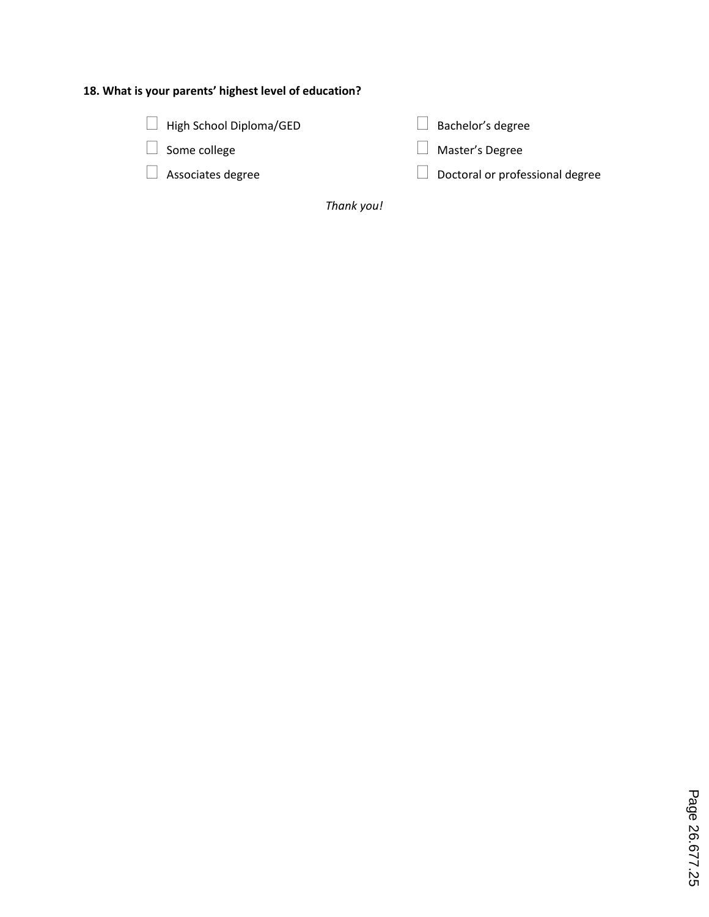## **18. What is your parents' highest level of education?**

| $\Box$ High School Diploma/GED |
|--------------------------------|
|                                |

 $\Box$  Some college

Associates degree

 $\Box$  Bachelor's degree

Master's Degree

 $\Box$  Doctoral or professional degree

*Thank you!*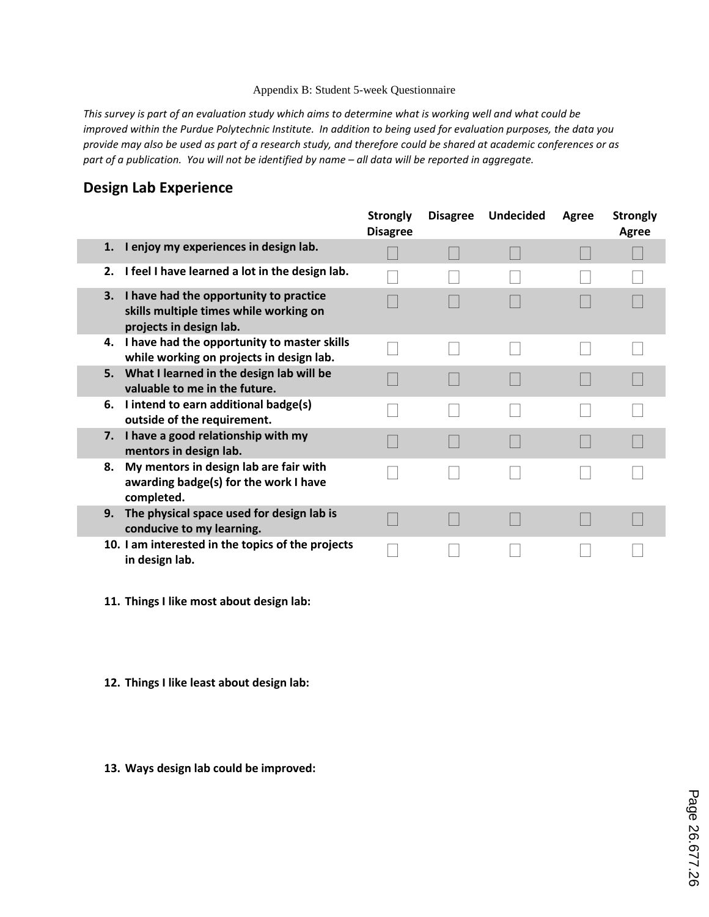#### Appendix B: Student 5-week Questionnaire

*This survey is part of an evaluation study which aims to determine what is working well and what could be improved within the Purdue Polytechnic Institute. In addition to being used for evaluation purposes, the data you provide may also be used as part of a research study, and therefore could be shared at academic conferences or as part of a publication. You will not be identified by name – all data will be reported in aggregate.*

## **Design Lab Experience**

|    |                                                                                                             | <b>Strongly</b><br><b>Disagree</b> | <b>Disagree</b> | <b>Undecided</b> | Agree | <b>Strongly</b><br><b>Agree</b> |
|----|-------------------------------------------------------------------------------------------------------------|------------------------------------|-----------------|------------------|-------|---------------------------------|
| 1. | I enjoy my experiences in design lab.                                                                       |                                    |                 |                  |       |                                 |
| 2. | I feel I have learned a lot in the design lab.                                                              |                                    |                 |                  |       |                                 |
| 3. | I have had the opportunity to practice<br>skills multiple times while working on<br>projects in design lab. |                                    |                 |                  |       |                                 |
|    | 4. I have had the opportunity to master skills<br>while working on projects in design lab.                  |                                    |                 |                  |       |                                 |
| 5. | What I learned in the design lab will be<br>valuable to me in the future.                                   |                                    |                 |                  |       |                                 |
| 6. | I intend to earn additional badge(s)<br>outside of the requirement.                                         |                                    |                 |                  |       |                                 |
| 7. | I have a good relationship with my<br>mentors in design lab.                                                |                                    |                 |                  |       |                                 |
| 8. | My mentors in design lab are fair with<br>awarding badge(s) for the work I have<br>completed.               |                                    |                 |                  |       |                                 |
| 9. | The physical space used for design lab is<br>conducive to my learning.                                      |                                    |                 |                  |       |                                 |
|    | 10. I am interested in the topics of the projects<br>in design lab.                                         |                                    |                 |                  |       |                                 |

- **11. Things I like most about design lab:**
- **12. Things I like least about design lab:**
- **13. Ways design lab could be improved:**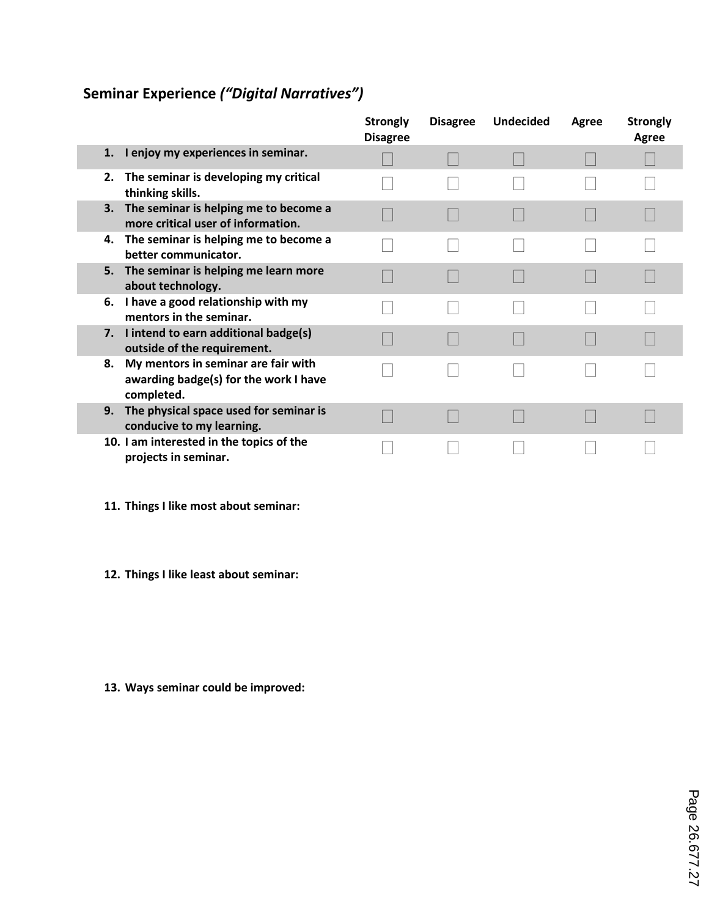## **Seminar Experience** *("Digital Narratives")*

|                  |                                                                              | <b>Strongly</b><br><b>Disagree</b> | <b>Disagree</b> | <b>Undecided</b> | Agree | <b>Strongly</b><br>Agree |
|------------------|------------------------------------------------------------------------------|------------------------------------|-----------------|------------------|-------|--------------------------|
| 1.               | I enjoy my experiences in seminar.                                           |                                    |                 |                  |       |                          |
| 2.               | The seminar is developing my critical<br>thinking skills.                    |                                    |                 |                  |       |                          |
| 3.               | The seminar is helping me to become a<br>more critical user of information.  |                                    |                 |                  |       |                          |
| 4.               | The seminar is helping me to become a<br>better communicator.                |                                    |                 |                  |       |                          |
| 5.               | The seminar is helping me learn more<br>about technology.                    |                                    |                 |                  |       |                          |
| 6.               | I have a good relationship with my<br>mentors in the seminar.                |                                    |                 |                  |       |                          |
|                  | 7. I intend to earn additional badge(s)<br>outside of the requirement.       |                                    |                 |                  |       |                          |
| 8.<br>completed. | My mentors in seminar are fair with<br>awarding badge(s) for the work I have |                                    |                 |                  |       |                          |
| 9.               | The physical space used for seminar is<br>conducive to my learning.          |                                    |                 |                  |       |                          |
|                  | 10. I am interested in the topics of the<br>projects in seminar.             |                                    |                 |                  |       |                          |

- **11. Things I like most about seminar:**
- **12. Things I like least about seminar:**

**13. Ways seminar could be improved:**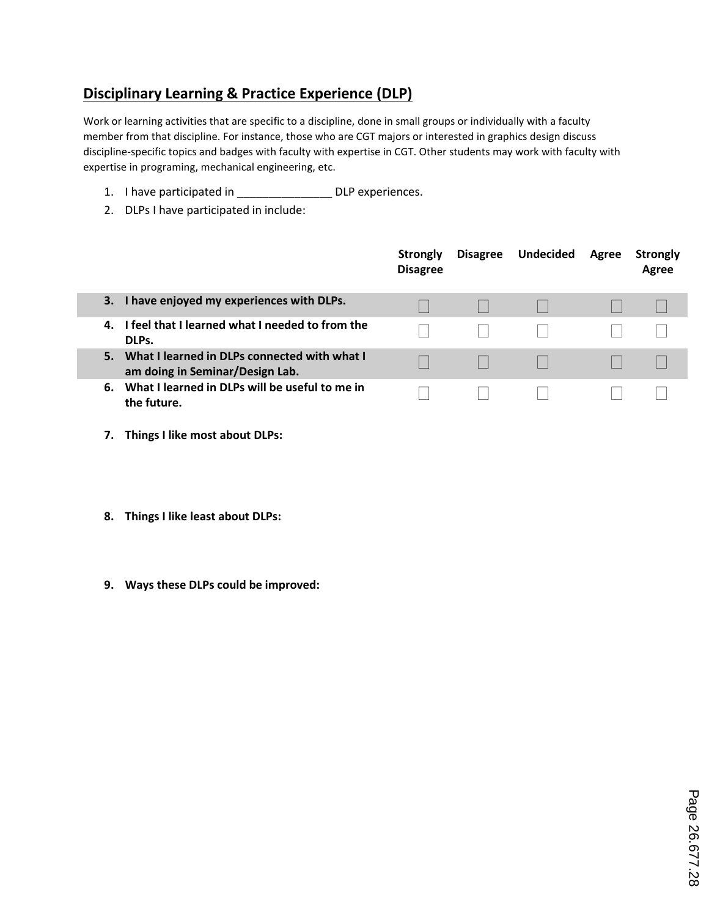## **Disciplinary Learning & Practice Experience (DLP)**

Work or learning activities that are specific to a discipline, done in small groups or individually with a faculty member from that discipline. For instance, those who are CGT majors or interested in graphics design discuss discipline-specific topics and badges with faculty with expertise in CGT. Other students may work with faculty with expertise in programing, mechanical engineering, etc.

- 1. I have participated in DLP experiences.
- 2. DLPs I have participated in include:

|    |                                                                                 | <b>Strongly</b><br><b>Disagree</b> | <b>Disagree</b> | <b>Undecided</b> | Agree | <b>Strongly</b><br>Agree |
|----|---------------------------------------------------------------------------------|------------------------------------|-----------------|------------------|-------|--------------------------|
| З. | I have enjoyed my experiences with DLPs.                                        |                                    |                 |                  |       |                          |
| 4. | I feel that I learned what I needed to from the<br>DLPs.                        |                                    |                 |                  |       |                          |
|    | What I learned in DLPs connected with what I<br>am doing in Seminar/Design Lab. |                                    |                 |                  |       |                          |
| 6. | What I learned in DLPs will be useful to me in<br>the future.                   |                                    |                 |                  |       |                          |

- **7. Things I like most about DLPs:**
- **8. Things I like least about DLPs:**
- **9. Ways these DLPs could be improved:**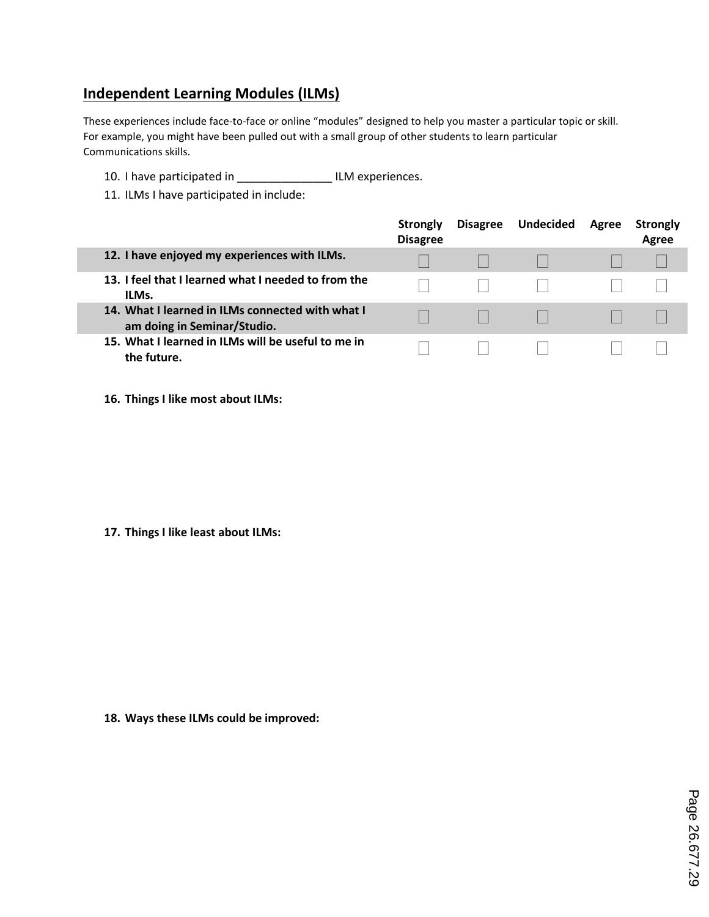## **Independent Learning Modules (ILMs)**

These experiences include face-to-face or online "modules" designed to help you master a particular topic or skill. For example, you might have been pulled out with a small group of other students to learn particular Communications skills.

- 10. I have participated in \_\_\_\_\_\_\_\_\_\_\_\_\_\_\_ ILM experiences.
- 11. ILMs I have participated in include:

|                                                                                 | Strongly<br><b>Disagree</b> | <b>Disagree</b> | <b>Undecided</b> | Agree | <b>Strongly</b><br>Agree |
|---------------------------------------------------------------------------------|-----------------------------|-----------------|------------------|-------|--------------------------|
| 12. I have enjoyed my experiences with ILMs.                                    |                             |                 |                  |       |                          |
| 13. I feel that I learned what I needed to from the<br>ILMs.                    |                             |                 |                  |       |                          |
| 14. What I learned in ILMs connected with what I<br>am doing in Seminar/Studio. |                             |                 |                  |       |                          |
| 15. What I learned in ILMs will be useful to me in<br>the future.               |                             |                 |                  |       |                          |

**16. Things I like most about ILMs:**

**17. Things I like least about ILMs:**

**18. Ways these ILMs could be improved:**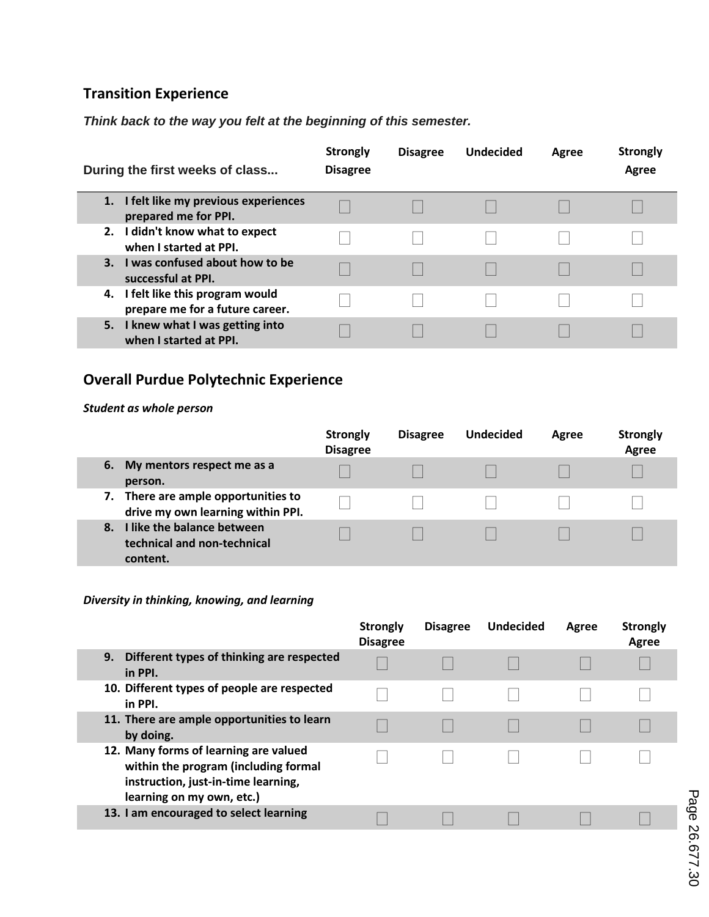## **Transition Experience**

*Think back to the way you felt at the beginning of this semester.*

| During the first weeks of class                                      | <b>Strongly</b><br><b>Disagree</b> | <b>Disagree</b> | <b>Undecided</b> | Agree | <b>Strongly</b><br>Agree |
|----------------------------------------------------------------------|------------------------------------|-----------------|------------------|-------|--------------------------|
| 1. I felt like my previous experiences<br>prepared me for PPI.       |                                    |                 |                  |       |                          |
| 2. I didn't know what to expect<br>when I started at PPI.            |                                    |                 |                  |       |                          |
| 3. I was confused about how to be<br>successful at PPI.              |                                    |                 |                  |       |                          |
| 4. I felt like this program would<br>prepare me for a future career. |                                    |                 |                  |       |                          |
| 5. I knew what I was getting into<br>when I started at PPI.          |                                    |                 |                  |       |                          |

## **Overall Purdue Polytechnic Experience**

#### *Student as whole person*

|                                                                             | <b>Strongly</b><br><b>Disagree</b> | <b>Disagree</b> | <b>Undecided</b> | Agree | <b>Strongly</b><br>Agree |
|-----------------------------------------------------------------------------|------------------------------------|-----------------|------------------|-------|--------------------------|
| 6.<br>My mentors respect me as a<br>person.                                 |                                    |                 |                  |       |                          |
| There are ample opportunities to<br>7.<br>drive my own learning within PPI. |                                    |                 |                  |       |                          |
| I like the balance between<br>8.<br>technical and non-technical<br>content. |                                    |                 |                  |       |                          |

#### *Diversity in thinking, knowing, and learning*

|                                                                                                                                                   | Strongly<br><b>Disagree</b> | <b>Disagree</b> | <b>Undecided</b> | Agree | <b>Strongly</b><br>Agree |
|---------------------------------------------------------------------------------------------------------------------------------------------------|-----------------------------|-----------------|------------------|-------|--------------------------|
| Different types of thinking are respected<br>9.<br>in PPI.                                                                                        |                             |                 |                  |       |                          |
| 10. Different types of people are respected<br>in PPI.                                                                                            |                             |                 |                  |       |                          |
| 11. There are ample opportunities to learn<br>by doing.                                                                                           |                             |                 |                  |       |                          |
| 12. Many forms of learning are valued<br>within the program (including formal<br>instruction, just-in-time learning,<br>learning on my own, etc.) |                             |                 |                  |       |                          |
| 13. I am encouraged to select learning                                                                                                            |                             |                 |                  |       |                          |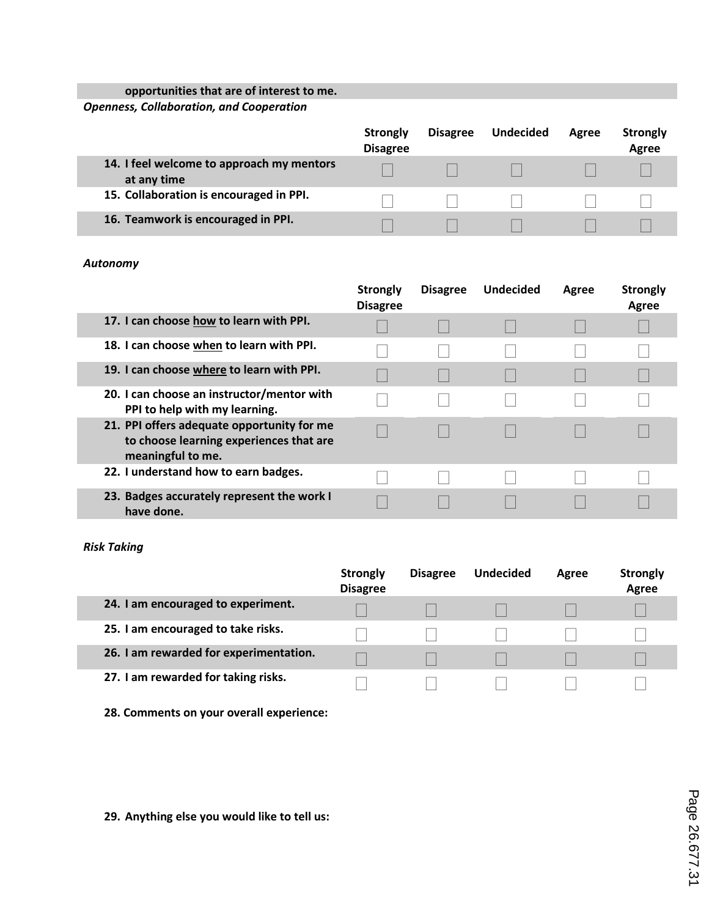### **opportunities that are of interest to me.**

*Openness, Collaboration, and Cooperation*

|                                                          | Strongly<br><b>Disagree</b> | <b>Disagree</b> | <b>Undecided</b> | Agree | <b>Strongly</b><br>Agree |
|----------------------------------------------------------|-----------------------------|-----------------|------------------|-------|--------------------------|
| 14. I feel welcome to approach my mentors<br>at any time |                             |                 |                  |       |                          |
| 15. Collaboration is encouraged in PPI.                  |                             |                 |                  |       |                          |
| 16. Teamwork is encouraged in PPI.                       |                             |                 |                  |       |                          |

#### *Autonomy*

|                                                                                                            | <b>Strongly</b><br><b>Disagree</b> | <b>Disagree</b> | <b>Undecided</b> | Agree | <b>Strongly</b><br>Agree |
|------------------------------------------------------------------------------------------------------------|------------------------------------|-----------------|------------------|-------|--------------------------|
| 17. I can choose how to learn with PPI.                                                                    |                                    |                 |                  |       |                          |
| 18. I can choose when to learn with PPI.                                                                   |                                    |                 |                  |       |                          |
| 19. I can choose where to learn with PPI.                                                                  |                                    |                 |                  |       |                          |
| 20. I can choose an instructor/mentor with<br>PPI to help with my learning.                                |                                    |                 |                  |       |                          |
| 21. PPI offers adequate opportunity for me<br>to choose learning experiences that are<br>meaningful to me. |                                    |                 |                  |       |                          |
| 22. I understand how to earn badges.                                                                       |                                    |                 |                  |       |                          |
| 23. Badges accurately represent the work I<br>have done.                                                   |                                    |                 |                  |       |                          |

#### *Risk Taking*

|                                        | <b>Strongly</b><br><b>Disagree</b> | <b>Disagree</b> | <b>Undecided</b> | Agree | <b>Strongly</b><br>Agree |
|----------------------------------------|------------------------------------|-----------------|------------------|-------|--------------------------|
| 24. I am encouraged to experiment.     |                                    |                 |                  |       |                          |
| 25. I am encouraged to take risks.     |                                    |                 |                  |       |                          |
| 26. I am rewarded for experimentation. |                                    |                 |                  |       |                          |
| 27. I am rewarded for taking risks.    |                                    |                 |                  |       |                          |

**28. Comments on your overall experience:**

**29. Anything else you would like to tell us:**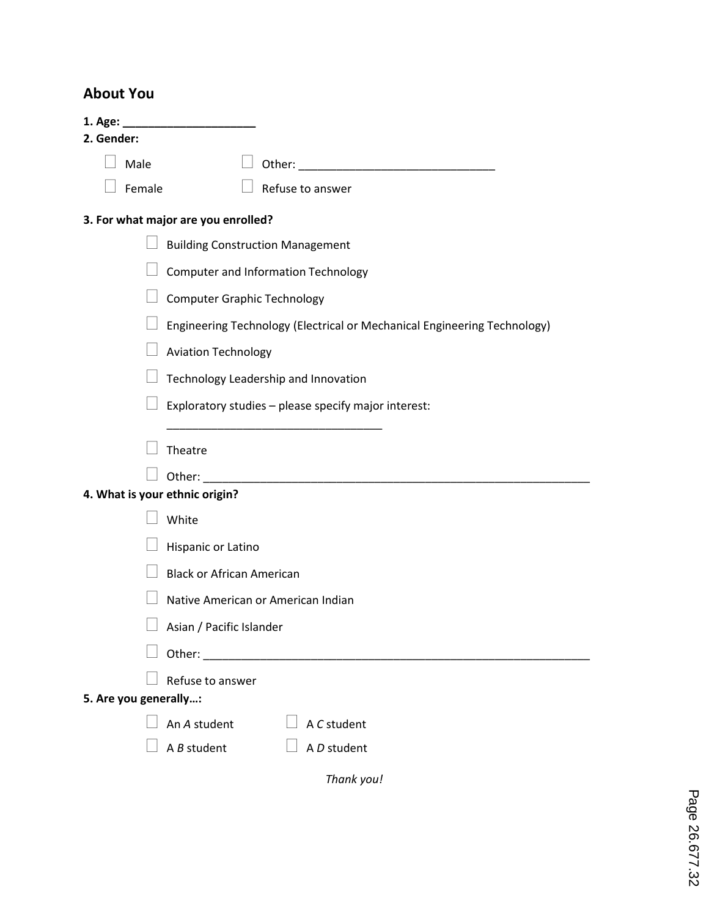## **About You**

| 1. Age: $\overline{\phantom{a}}$<br>2. Gender: |                                                                          |
|------------------------------------------------|--------------------------------------------------------------------------|
| Male                                           |                                                                          |
| Female                                         | Refuse to answer                                                         |
|                                                | 3. For what major are you enrolled?                                      |
|                                                | <b>Building Construction Management</b>                                  |
|                                                | <b>Computer and Information Technology</b>                               |
|                                                | <b>Computer Graphic Technology</b>                                       |
|                                                | Engineering Technology (Electrical or Mechanical Engineering Technology) |
|                                                | <b>Aviation Technology</b>                                               |
|                                                | Technology Leadership and Innovation                                     |
|                                                | Exploratory studies - please specify major interest:                     |
|                                                | Theatre                                                                  |
|                                                | Other:                                                                   |
| 4. What is your ethnic origin?                 |                                                                          |
|                                                | White                                                                    |
|                                                | Hispanic or Latino                                                       |
|                                                | <b>Black or African American</b>                                         |
|                                                | Native American or American Indian                                       |
|                                                | Asian / Pacific Islander                                                 |
|                                                |                                                                          |
|                                                | Refuse to answer                                                         |
| 5. Are you generally:                          |                                                                          |
|                                                | An A student<br>A C student                                              |
|                                                | A <i>B</i> student<br>A D student                                        |
|                                                | Thank you!                                                               |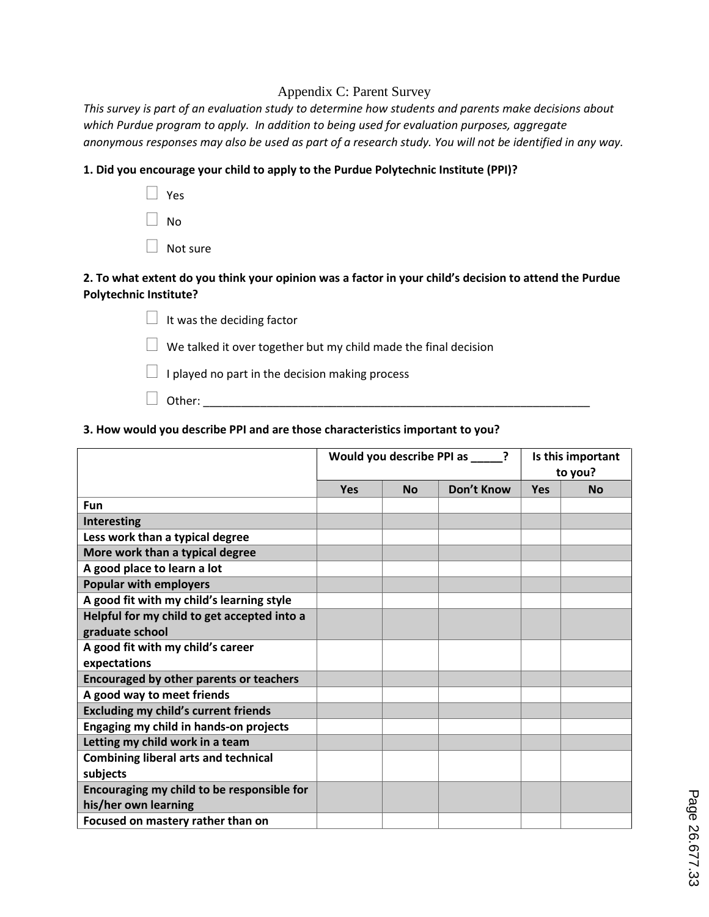#### Appendix C: Parent Survey

*This survey is part of an evaluation study to determine how students and parents make decisions about which Purdue program to apply. In addition to being used for evaluation purposes, aggregate anonymous responses may also be used as part of a research study. You will not be identified in any way.*

#### **1. Did you encourage your child to apply to the Purdue Polytechnic Institute (PPI)?**

 Yes  $\Box$  No Not sure

#### **2. To what extent do you think your opinion was a factor in your child's decision to attend the Purdue Polytechnic Institute?**

 $\Box$  It was the deciding factor  $\Box$  We talked it over together but my child made the final decision  $\Box$  I played no part in the decision making process

# Other: \_\_\_\_\_\_\_\_\_\_\_\_\_\_\_\_\_\_\_\_\_\_\_\_\_\_\_\_\_\_\_\_\_\_\_\_\_\_\_\_\_\_\_\_\_\_\_\_\_\_\_\_\_\_\_\_\_\_\_\_\_

#### **3. How would you describe PPI and are those characteristics important to you?**

|                                             | Would you describe PPI as ? |           |            | Is this important<br>to you? |           |
|---------------------------------------------|-----------------------------|-----------|------------|------------------------------|-----------|
|                                             | Yes                         | <b>No</b> | Don't Know | Yes                          | <b>No</b> |
| <b>Fun</b>                                  |                             |           |            |                              |           |
| <b>Interesting</b>                          |                             |           |            |                              |           |
| Less work than a typical degree             |                             |           |            |                              |           |
| More work than a typical degree             |                             |           |            |                              |           |
| A good place to learn a lot                 |                             |           |            |                              |           |
| <b>Popular with employers</b>               |                             |           |            |                              |           |
| A good fit with my child's learning style   |                             |           |            |                              |           |
| Helpful for my child to get accepted into a |                             |           |            |                              |           |
| graduate school                             |                             |           |            |                              |           |
| A good fit with my child's career           |                             |           |            |                              |           |
| expectations                                |                             |           |            |                              |           |
| Encouraged by other parents or teachers     |                             |           |            |                              |           |
| A good way to meet friends                  |                             |           |            |                              |           |
| <b>Excluding my child's current friends</b> |                             |           |            |                              |           |
| Engaging my child in hands-on projects      |                             |           |            |                              |           |
| Letting my child work in a team             |                             |           |            |                              |           |
| <b>Combining liberal arts and technical</b> |                             |           |            |                              |           |
| subjects                                    |                             |           |            |                              |           |
| Encouraging my child to be responsible for  |                             |           |            |                              |           |
| his/her own learning                        |                             |           |            |                              |           |
| Focused on mastery rather than on           |                             |           |            |                              |           |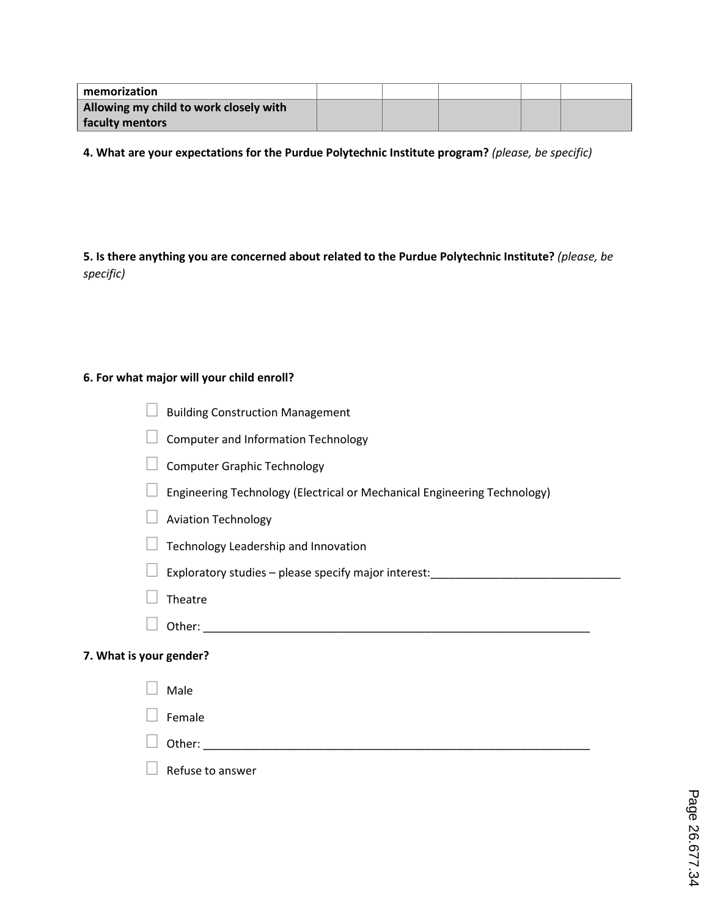| memorization                           |  |  |  |
|----------------------------------------|--|--|--|
| Allowing my child to work closely with |  |  |  |
| faculty mentors                        |  |  |  |

**4. What are your expectations for the Purdue Polytechnic Institute program?** *(please, be specific)*

**5. Is there anything you are concerned about related to the Purdue Polytechnic Institute?** *(please, be specific)*

#### **6. For what major will your child enroll?**

- $\Box$  Building Construction Management
- $\Box$  Computer and Information Technology
- $\Box$  Computer Graphic Technology
- $\Box$  Engineering Technology (Electrical or Mechanical Engineering Technology)
- $\Box$  Aviation Technology
- $\Box$  Technology Leadership and Innovation
- Exploratory studies please specify major interest:\_\_\_\_\_\_\_\_\_\_\_\_\_\_\_\_\_\_\_\_\_\_\_\_\_\_\_\_\_\_
- $\Box$  Theatre
- Other: \_\_\_\_\_\_\_\_\_\_\_\_\_\_\_\_\_\_\_\_\_\_\_\_\_\_\_\_\_\_\_\_\_\_\_\_\_\_\_\_\_\_\_\_\_\_\_\_\_\_\_\_\_\_\_\_\_\_\_\_\_

#### **7. What is your gender?**

| $\Box$ Male                |
|----------------------------|
| $\Box$ Female              |
| D Other: _________________ |
| $\Box$ Refuse to answer    |